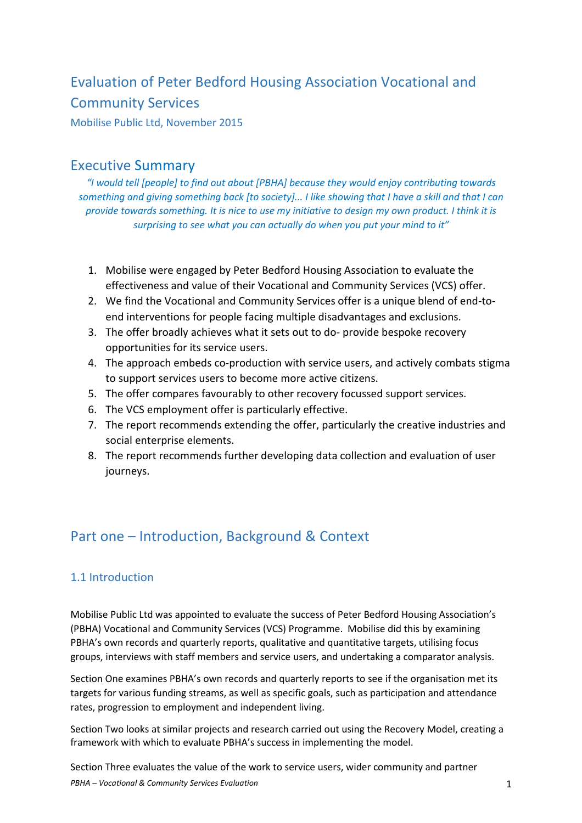# Evaluation of Peter Bedford Housing Association Vocational and Community Services

Mobilise Public Ltd, November 2015

# Executive Summary

*"I would tell [people] to find out about [PBHA] because they would enjoy contributing towards something and giving something back [to society]... I like showing that I have a skill and that I can provide towards something. It is nice to use my initiative to design my own product. I think it is surprising to see what you can actually do when you put your mind to it"* 

- 1. Mobilise were engaged by Peter Bedford Housing Association to evaluate the effectiveness and value of their Vocational and Community Services (VCS) offer.
- 2. We find the Vocational and Community Services offer is a unique blend of end-toend interventions for people facing multiple disadvantages and exclusions.
- 3. The offer broadly achieves what it sets out to do- provide bespoke recovery opportunities for its service users.
- 4. The approach embeds co-production with service users, and actively combats stigma to support services users to become more active citizens.
- 5. The offer compares favourably to other recovery focussed support services.
- 6. The VCS employment offer is particularly effective.
- 7. The report recommends extending the offer, particularly the creative industries and social enterprise elements.
- 8. The report recommends further developing data collection and evaluation of user journeys.

# Part one – Introduction, Background & Context

## 1.1 Introduction

Mobilise Public Ltd was appointed to evaluate the success of Peter Bedford Housing Association's (PBHA) Vocational and Community Services (VCS) Programme. Mobilise did this by examining PBHA's own records and quarterly reports, qualitative and quantitative targets, utilising focus groups, interviews with staff members and service users, and undertaking a comparator analysis.

Section One examines PBHA's own records and quarterly reports to see if the organisation met its targets for various funding streams, as well as specific goals, such as participation and attendance rates, progression to employment and independent living.

Section Two looks at similar projects and research carried out using the Recovery Model, creating a framework with which to evaluate PBHA's success in implementing the model.

*PBHA – Vocational & Community Services Evaluation* 1 Section Three evaluates the value of the work to service users, wider community and partner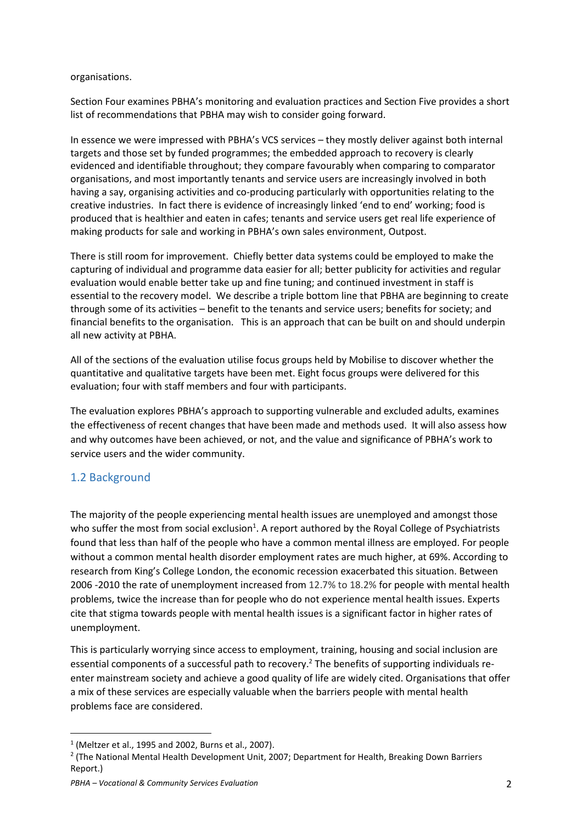## organisations.

Section Four examines PBHA's monitoring and evaluation practices and Section Five provides a short list of recommendations that PBHA may wish to consider going forward.

In essence we were impressed with PBHA's VCS services – they mostly deliver against both internal targets and those set by funded programmes; the embedded approach to recovery is clearly evidenced and identifiable throughout; they compare favourably when comparing to comparator organisations, and most importantly tenants and service users are increasingly involved in both having a say, organising activities and co-producing particularly with opportunities relating to the creative industries. In fact there is evidence of increasingly linked 'end to end' working; food is produced that is healthier and eaten in cafes; tenants and service users get real life experience of making products for sale and working in PBHA's own sales environment, Outpost.

There is still room for improvement. Chiefly better data systems could be employed to make the capturing of individual and programme data easier for all; better publicity for activities and regular evaluation would enable better take up and fine tuning; and continued investment in staff is essential to the recovery model. We describe a triple bottom line that PBHA are beginning to create through some of its activities – benefit to the tenants and service users; benefits for society; and financial benefits to the organisation. This is an approach that can be built on and should underpin all new activity at PBHA.

All of the sections of the evaluation utilise focus groups held by Mobilise to discover whether the quantitative and qualitative targets have been met. Eight focus groups were delivered for this evaluation; four with staff members and four with participants.

The evaluation explores PBHA's approach to supporting vulnerable and excluded adults, examines the effectiveness of recent changes that have been made and methods used. It will also assess how and why outcomes have been achieved, or not, and the value and significance of PBHA's work to service users and the wider community.

## 1.2 Background

 $\overline{a}$ 

The majority of the people experiencing mental health issues are unemployed and amongst those who suffer the most from social exclusion<sup>1</sup>. A report authored by the Royal College of Psychiatrists found that less than half of the people who have a common mental illness are employed. For people without a common mental health disorder employment rates are much higher, at 69%. According to research from King's College London, the economic recession exacerbated this situation. Between 2006 -2010 the rate of unemployment increased from 12.7% to 18.2% for people with mental health problems, twice the increase than for people who do not experience mental health issues. Experts cite that stigma towards people with mental health issues is a significant factor in higher rates of unemployment.

This is particularly worrying since access to employment, training, housing and social inclusion are essential components of a successful path to recovery.<sup>2</sup> The benefits of supporting individuals reenter mainstream society and achieve a good quality of life are widely cited. Organisations that offer a mix of these services are especially valuable when the barriers people with mental health problems face are considered.

 $1$  (Meltzer et al., 1995 and 2002, Burns et al., 2007).

<sup>&</sup>lt;sup>2</sup> (The National Mental Health Development Unit, 2007; Department for Health, Breaking Down Barriers Report.)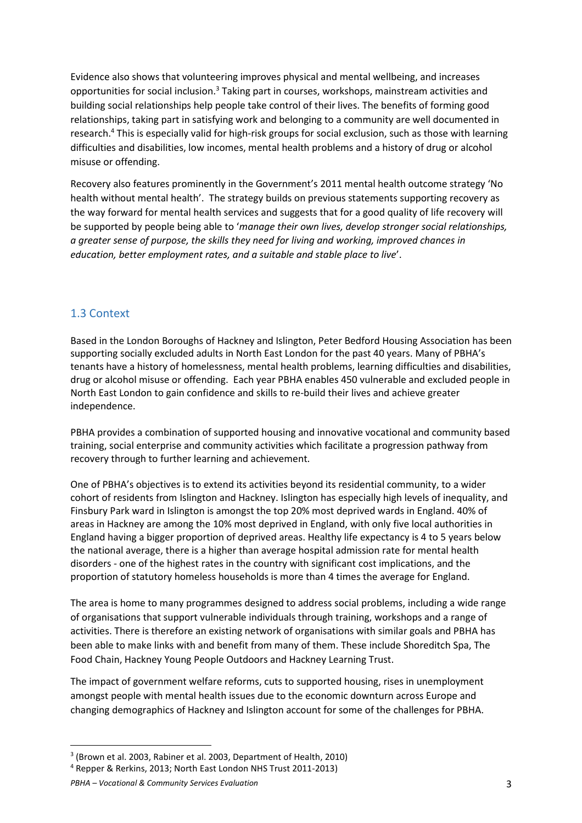Evidence also shows that volunteering improves physical and mental wellbeing, and increases opportunities for social inclusion.<sup>3</sup> Taking part in courses, workshops, mainstream activities and building social relationships help people take control of their lives. The benefits of forming good relationships, taking part in satisfying work and belonging to a community are well documented in research.<sup>4</sup> This is especially valid for high-risk groups for social exclusion, such as those with learning difficulties and disabilities, low incomes, mental health problems and a history of drug or alcohol misuse or offending.

Recovery also features prominently in the Government's 2011 mental health outcome strategy 'No health without mental health'. The strategy builds on previous statements supporting recovery as the way forward for mental health services and suggests that for a good quality of life recovery will be supported by people being able to '*manage their own lives, develop stronger social relationships, a greater sense of purpose, the skills they need for living and working, improved chances in education, better employment rates, and a suitable and stable place to live*'.

## 1.3 Context

Based in the London Boroughs of Hackney and Islington, Peter Bedford Housing Association has been supporting socially excluded adults in North East London for the past 40 years. Many of PBHA's tenants have a history of homelessness, mental health problems, learning difficulties and disabilities, drug or alcohol misuse or offending. Each year PBHA enables 450 vulnerable and excluded people in North East London to gain confidence and skills to re-build their lives and achieve greater independence.

PBHA provides a combination of supported housing and innovative vocational and community based training, social enterprise and community activities which facilitate a progression pathway from recovery through to further learning and achievement.

One of PBHA's objectives is to extend its activities beyond its residential community, to a wider cohort of residents from Islington and Hackney. Islington has especially high levels of inequality, and Finsbury Park ward in Islington is amongst the top 20% most deprived wards in England. 40% of areas in Hackney are among the 10% most deprived in England, with only five local authorities in England having a bigger proportion of deprived areas. Healthy life expectancy is 4 to 5 years below the national average, there is a higher than average hospital admission rate for mental health disorders - one of the highest rates in the country with significant cost implications, and the proportion of statutory homeless households is more than 4 times the average for England.

The area is home to many programmes designed to address social problems, including a wide range of organisations that support vulnerable individuals through training, workshops and a range of activities. There is therefore an existing network of organisations with similar goals and PBHA has been able to make links with and benefit from many of them. These include Shoreditch Spa, The Food Chain, Hackney Young People Outdoors and Hackney Learning Trust.

The impact of government welfare reforms, cuts to supported housing, rises in unemployment amongst people with mental health issues due to the economic downturn across Europe and changing demographics of Hackney and Islington account for some of the challenges for PBHA.

l

<sup>&</sup>lt;sup>3</sup> (Brown et al. 2003, Rabiner et al. 2003, Department of Health, 2010)

<sup>&</sup>lt;sup>4</sup> Repper & Rerkins, 2013; North East London NHS Trust 2011-2013)

*PBHA – Vocational & Community Services Evaluation* 3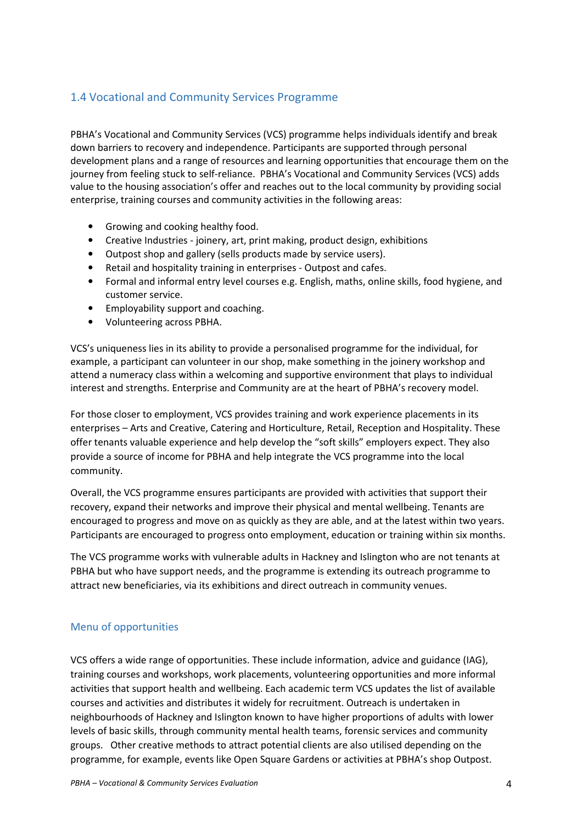# 1.4 Vocational and Community Services Programme

PBHA's Vocational and Community Services (VCS) programme helps individuals identify and break down barriers to recovery and independence. Participants are supported through personal development plans and a range of resources and learning opportunities that encourage them on the journey from feeling stuck to self-reliance. PBHA's Vocational and Community Services (VCS) adds value to the housing association's offer and reaches out to the local community by providing social enterprise, training courses and community activities in the following areas:

- Growing and cooking healthy food.
- Creative Industries joinery, art, print making, product design, exhibitions
- Outpost shop and gallery (sells products made by service users).
- Retail and hospitality training in enterprises Outpost and cafes.
- Formal and informal entry level courses e.g. English, maths, online skills, food hygiene, and customer service.
- Employability support and coaching.
- Volunteering across PBHA.

VCS's uniqueness lies in its ability to provide a personalised programme for the individual, for example, a participant can volunteer in our shop, make something in the joinery workshop and attend a numeracy class within a welcoming and supportive environment that plays to individual interest and strengths. Enterprise and Community are at the heart of PBHA's recovery model.

For those closer to employment, VCS provides training and work experience placements in its enterprises – Arts and Creative, Catering and Horticulture, Retail, Reception and Hospitality. These offer tenants valuable experience and help develop the "soft skills" employers expect. They also provide a source of income for PBHA and help integrate the VCS programme into the local community.

Overall, the VCS programme ensures participants are provided with activities that support their recovery, expand their networks and improve their physical and mental wellbeing. Tenants are encouraged to progress and move on as quickly as they are able, and at the latest within two years. Participants are encouraged to progress onto employment, education or training within six months.

The VCS programme works with vulnerable adults in Hackney and Islington who are not tenants at PBHA but who have support needs, and the programme is extending its outreach programme to attract new beneficiaries, via its exhibitions and direct outreach in community venues.

## Menu of opportunities

VCS offers a wide range of opportunities. These include information, advice and guidance (IAG), training courses and workshops, work placements, volunteering opportunities and more informal activities that support health and wellbeing. Each academic term VCS updates the list of available courses and activities and distributes it widely for recruitment. Outreach is undertaken in neighbourhoods of Hackney and Islington known to have higher proportions of adults with lower levels of basic skills, through community mental health teams, forensic services and community groups. Other creative methods to attract potential clients are also utilised depending on the programme, for example, events like Open Square Gardens or activities at PBHA's shop Outpost.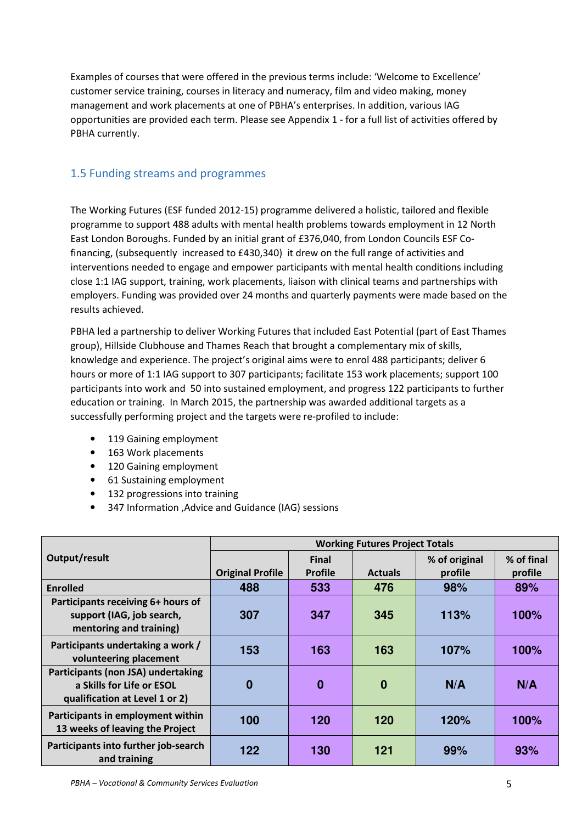Examples of courses that were offered in the previous terms include: 'Welcome to Excellence' customer service training, courses in literacy and numeracy, film and video making, money management and work placements at one of PBHA's enterprises. In addition, various IAG opportunities are provided each term. Please see Appendix 1 - for a full list of activities offered by PBHA currently.

## 1.5 Funding streams and programmes

The Working Futures (ESF funded 2012-15) programme delivered a holistic, tailored and flexible programme to support 488 adults with mental health problems towards employment in 12 North East London Boroughs. Funded by an initial grant of £376,040, from London Councils ESF Cofinancing, (subsequently increased to £430,340) it drew on the full range of activities and interventions needed to engage and empower participants with mental health conditions including close 1:1 IAG support, training, work placements, liaison with clinical teams and partnerships with employers. Funding was provided over 24 months and quarterly payments were made based on the results achieved.

PBHA led a partnership to deliver Working Futures that included East Potential (part of East Thames group), Hillside Clubhouse and Thames Reach that brought a complementary mix of skills, knowledge and experience. The project's original aims were to enrol 488 participants; deliver 6 hours or more of 1:1 IAG support to 307 participants; facilitate 153 work placements; support 100 participants into work and 50 into sustained employment, and progress 122 participants to further education or training. In March 2015, the partnership was awarded additional targets as a successfully performing project and the targets were re-profiled to include:

- 119 Gaining employment
- 163 Work placements
- 120 Gaining employment
- 61 Sustaining employment
- 132 progressions into training
- 347 Information ,Advice and Guidance (IAG) sessions

|                                                                                                   | <b>Working Futures Project Totals</b> |                |                |               |            |
|---------------------------------------------------------------------------------------------------|---------------------------------------|----------------|----------------|---------------|------------|
| Output/result                                                                                     |                                       | <b>Final</b>   |                | % of original | % of final |
|                                                                                                   | <b>Original Profile</b>               | <b>Profile</b> | <b>Actuals</b> | profile       | profile    |
| <b>Enrolled</b>                                                                                   | 488                                   | 533            | 476            | 98%           | 89%        |
| Participants receiving 6+ hours of<br>support (IAG, job search,<br>mentoring and training)        | 307                                   | 347            | 345            | 113%          | 100%       |
| Participants undertaking a work /<br>volunteering placement                                       | 153                                   | 163            | 163            | 107%          | 100%       |
| Participants (non JSA) undertaking<br>a Skills for Life or ESOL<br>qualification at Level 1 or 2) | $\bf{0}$                              | $\bf{0}$       | $\bf{0}$       | N/A           | N/A        |
| Participants in employment within<br>13 weeks of leaving the Project                              | 100                                   | 120            | 120            | 120%          | 100%       |
| Participants into further job-search<br>and training                                              | 122                                   | 130            | 121            | 99%           | 93%        |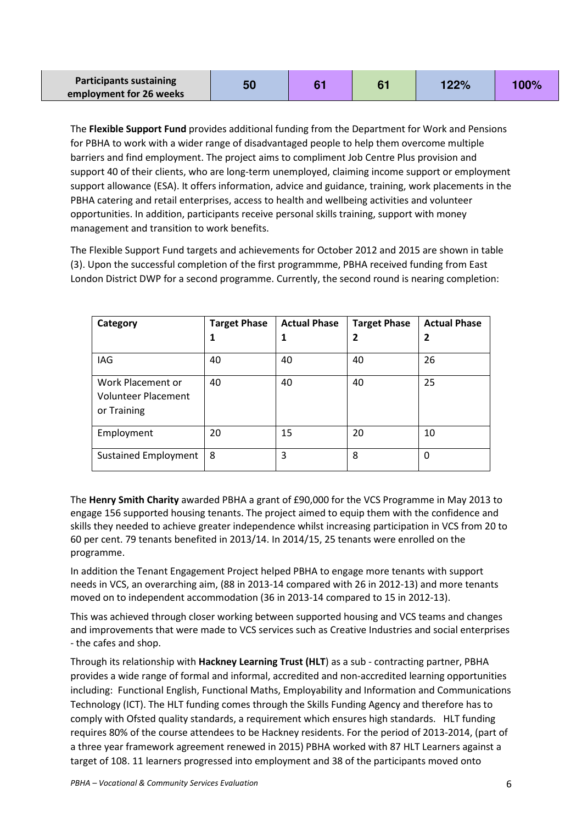| <b>Participants sustaining</b> | 50 |  | 122% | 100% |
|--------------------------------|----|--|------|------|
| employment for 26 weeks        |    |  |      |      |

The **Flexible Support Fund** provides additional funding from the Department for Work and Pensions for PBHA to work with a wider range of disadvantaged people to help them overcome multiple barriers and find employment. The project aims to compliment Job Centre Plus provision and support 40 of their clients, who are long-term unemployed, claiming income support or employment support allowance (ESA). It offers information, advice and guidance, training, work placements in the PBHA catering and retail enterprises, access to health and wellbeing activities and volunteer opportunities. In addition, participants receive personal skills training, support with money management and transition to work benefits.

The Flexible Support Fund targets and achievements for October 2012 and 2015 are shown in table (3). Upon the successful completion of the first programmme, PBHA received funding from East London District DWP for a second programme. Currently, the second round is nearing completion:

| Category                                                       | <b>Target Phase</b> | <b>Actual Phase</b> | <b>Target Phase</b> | <b>Actual Phase</b> |
|----------------------------------------------------------------|---------------------|---------------------|---------------------|---------------------|
|                                                                |                     | 1                   | 2                   | $\overline{2}$      |
| IAG                                                            | 40                  | 40                  | 40                  | 26                  |
| Work Placement or<br><b>Volunteer Placement</b><br>or Training | 40                  | 40                  | 40                  | 25                  |
| Employment                                                     | 20                  | 15                  | 20                  | 10                  |
| <b>Sustained Employment</b>                                    | 8                   | 3                   | 8                   | 0                   |

The **Henry Smith Charity** awarded PBHA a grant of £90,000 for the VCS Programme in May 2013 to engage 156 supported housing tenants. The project aimed to equip them with the confidence and skills they needed to achieve greater independence whilst increasing participation in VCS from 20 to 60 per cent. 79 tenants benefited in 2013/14. In 2014/15, 25 tenants were enrolled on the programme.

In addition the Tenant Engagement Project helped PBHA to engage more tenants with support needs in VCS, an overarching aim, (88 in 2013-14 compared with 26 in 2012-13) and more tenants moved on to independent accommodation (36 in 2013-14 compared to 15 in 2012-13).

This was achieved through closer working between supported housing and VCS teams and changes and improvements that were made to VCS services such as Creative Industries and social enterprises - the cafes and shop.

Through its relationship with **Hackney Learning Trust (HLT**) as a sub - contracting partner, PBHA provides a wide range of formal and informal, accredited and non-accredited learning opportunities including: Functional English, Functional Maths, Employability and Information and Communications Technology (ICT). The HLT funding comes through the Skills Funding Agency and therefore has to comply with Ofsted quality standards, a requirement which ensures high standards. HLT funding requires 80% of the course attendees to be Hackney residents. For the period of 2013-2014, (part of a three year framework agreement renewed in 2015) PBHA worked with 87 HLT Learners against a target of 108. 11 learners progressed into employment and 38 of the participants moved onto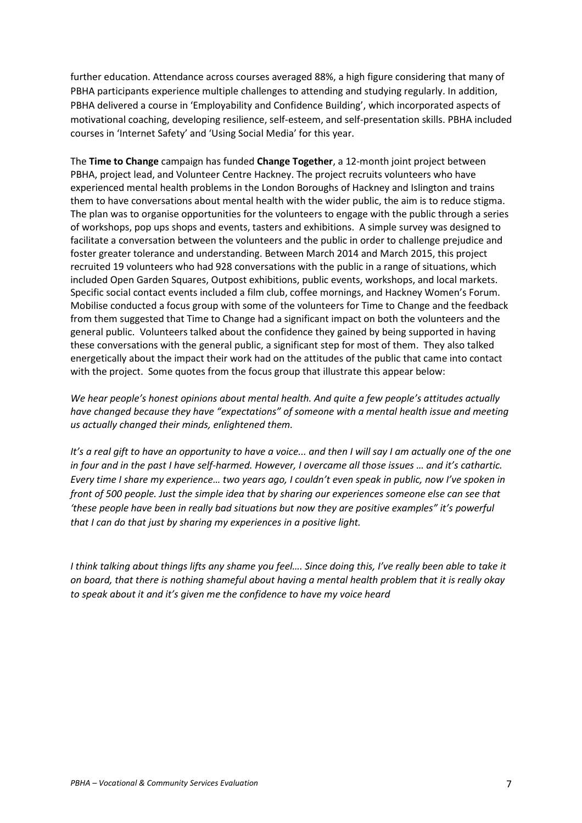further education. Attendance across courses averaged 88%, a high figure considering that many of PBHA participants experience multiple challenges to attending and studying regularly. In addition, PBHA delivered a course in 'Employability and Confidence Building', which incorporated aspects of motivational coaching, developing resilience, self-esteem, and self-presentation skills. PBHA included courses in 'Internet Safety' and 'Using Social Media' for this year.

The **Time to Change** campaign has funded **Change Together**, a 12-month joint project between PBHA, project lead, and Volunteer Centre Hackney. The project recruits volunteers who have experienced mental health problems in the London Boroughs of Hackney and Islington and trains them to have conversations about mental health with the wider public, the aim is to reduce stigma. The plan was to organise opportunities for the volunteers to engage with the public through a series of workshops, pop ups shops and events, tasters and exhibitions. A simple survey was designed to facilitate a conversation between the volunteers and the public in order to challenge prejudice and foster greater tolerance and understanding. Between March 2014 and March 2015, this project recruited 19 volunteers who had 928 conversations with the public in a range of situations, which included Open Garden Squares, Outpost exhibitions, public events, workshops, and local markets. Specific social contact events included a film club, coffee mornings, and Hackney Women's Forum. Mobilise conducted a focus group with some of the volunteers for Time to Change and the feedback from them suggested that Time to Change had a significant impact on both the volunteers and the general public. Volunteers talked about the confidence they gained by being supported in having these conversations with the general public, a significant step for most of them. They also talked energetically about the impact their work had on the attitudes of the public that came into contact with the project. Some quotes from the focus group that illustrate this appear below:

*We hear people's honest opinions about mental health. And quite a few people's attitudes actually have changed because they have "expectations" of someone with a mental health issue and meeting us actually changed their minds, enlightened them.* 

It's a real gift to have an opportunity to have a voice... and then I will say I am actually one of the one *in four and in the past I have self-harmed. However, I overcame all those issues … and it's cathartic. Every time I share my experience… two years ago, I couldn't even speak in public, now I've spoken in front of 500 people. Just the simple idea that by sharing our experiences someone else can see that 'these people have been in really bad situations but now they are positive examples" it's powerful that I can do that just by sharing my experiences in a positive light.* 

*I think talking about things lifts any shame you feel…. Since doing this, I've really been able to take it on board, that there is nothing shameful about having a mental health problem that it is really okay to speak about it and it's given me the confidence to have my voice heard*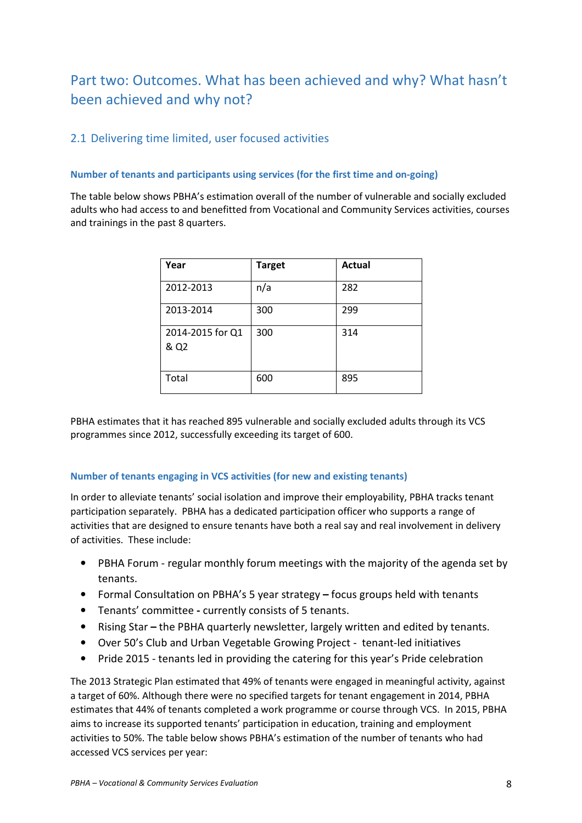# Part two: Outcomes. What has been achieved and why? What hasn't been achieved and why not?

# 2.1 Delivering time limited, user focused activities

## **Number of tenants and participants using services (for the first time and on-going)**

The table below shows PBHA's estimation overall of the number of vulnerable and socially excluded adults who had access to and benefitted from Vocational and Community Services activities, courses and trainings in the past 8 quarters.

| Year                     | <b>Target</b> | <b>Actual</b> |
|--------------------------|---------------|---------------|
| 2012-2013                | n/a           | 282           |
| 2013-2014                | 300           | 299           |
| 2014-2015 for Q1<br>& Q2 | 300           | 314           |
| Total                    | 600           | 895           |

PBHA estimates that it has reached 895 vulnerable and socially excluded adults through its VCS programmes since 2012, successfully exceeding its target of 600.

### **Number of tenants engaging in VCS activities (for new and existing tenants)**

In order to alleviate tenants' social isolation and improve their employability, PBHA tracks tenant participation separately. PBHA has a dedicated participation officer who supports a range of activities that are designed to ensure tenants have both a real say and real involvement in delivery of activities. These include:

- PBHA Forum regular monthly forum meetings with the majority of the agenda set by tenants.
- Formal Consultation on PBHA's 5 year strategyfocus groups held with tenants
- Tenants' committeecurrently consists of 5 tenants.
- Rising Starthe PBHA quarterly newsletter, largely written and edited by tenants.
- Over 50's Club and Urban Vegetable Growing Project tenant-led initiatives
- Pride 2015 tenants led in providing the catering for this year's Pride celebration

The 2013 Strategic Plan estimated that 49% of tenants were engaged in meaningful activity, against a target of 60%. Although there were no specified targets for tenant engagement in 2014, PBHA estimates that 44% of tenants completed a work programme or course through VCS. In 2015, PBHA aims to increase its supported tenants' participation in education, training and employment activities to 50%. The table below shows PBHA's estimation of the number of tenants who had accessed VCS services per year: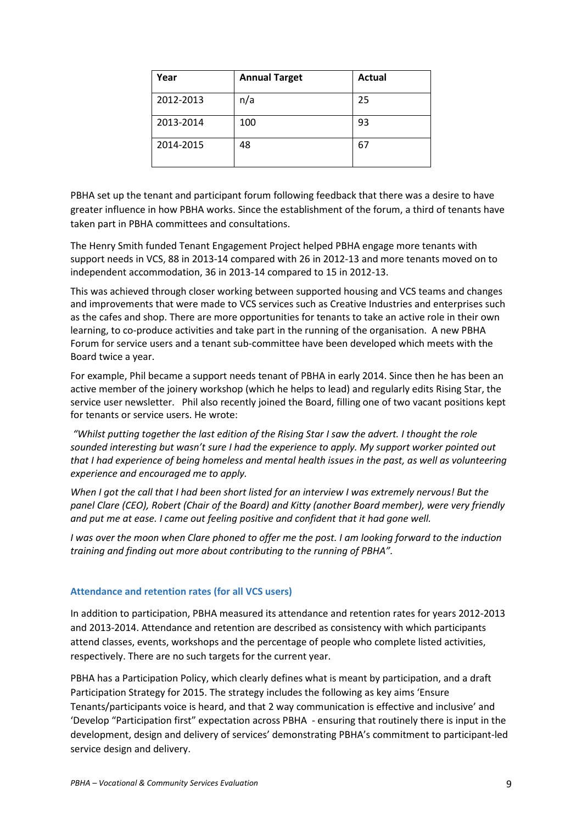| Year      | <b>Annual Target</b> | <b>Actual</b> |
|-----------|----------------------|---------------|
| 2012-2013 | n/a                  | 25            |
| 2013-2014 | 100                  | 93            |
| 2014-2015 | 48                   | 67            |

PBHA set up the tenant and participant forum following feedback that there was a desire to have greater influence in how PBHA works. Since the establishment of the forum, a third of tenants have taken part in PBHA committees and consultations.

The Henry Smith funded Tenant Engagement Project helped PBHA engage more tenants with support needs in VCS, 88 in 2013-14 compared with 26 in 2012-13 and more tenants moved on to independent accommodation, 36 in 2013-14 compared to 15 in 2012-13.

This was achieved through closer working between supported housing and VCS teams and changes and improvements that were made to VCS services such as Creative Industries and enterprises such as the cafes and shop. There are more opportunities for tenants to take an active role in their own learning, to co-produce activities and take part in the running of the organisation. A new PBHA Forum for service users and a tenant sub-committee have been developed which meets with the Board twice a year.

For example, Phil became a support needs tenant of PBHA in early 2014. Since then he has been an active member of the joinery workshop (which he helps to lead) and regularly edits Rising Star, the service user newsletter. Phil also recently joined the Board, filling one of two vacant positions kept for tenants or service users. He wrote:

 *"Whilst putting together the last edition of the Rising Star I saw the advert. I thought the role sounded interesting but wasn't sure I had the experience to apply. My support worker pointed out that I had experience of being homeless and mental health issues in the past, as well as volunteering experience and encouraged me to apply.* 

*When I got the call that I had been short listed for an interview I was extremely nervous! But the panel Clare (CEO), Robert (Chair of the Board) and Kitty (another Board member), were very friendly and put me at ease. I came out feeling positive and confident that it had gone well.* 

*I was over the moon when Clare phoned to offer me the post. I am looking forward to the induction training and finding out more about contributing to the running of PBHA".* 

### **Attendance and retention rates (for all VCS users)**

In addition to participation, PBHA measured its attendance and retention rates for years 2012-2013 and 2013-2014. Attendance and retention are described as consistency with which participants attend classes, events, workshops and the percentage of people who complete listed activities, respectively. There are no such targets for the current year.

PBHA has a Participation Policy, which clearly defines what is meant by participation, and a draft Participation Strategy for 2015. The strategy includes the following as key aims 'Ensure Tenants/participants voice is heard, and that 2 way communication is effective and inclusive' and 'Develop "Participation first" expectation across PBHA - ensuring that routinely there is input in the development, design and delivery of services' demonstrating PBHA's commitment to participant-led service design and delivery.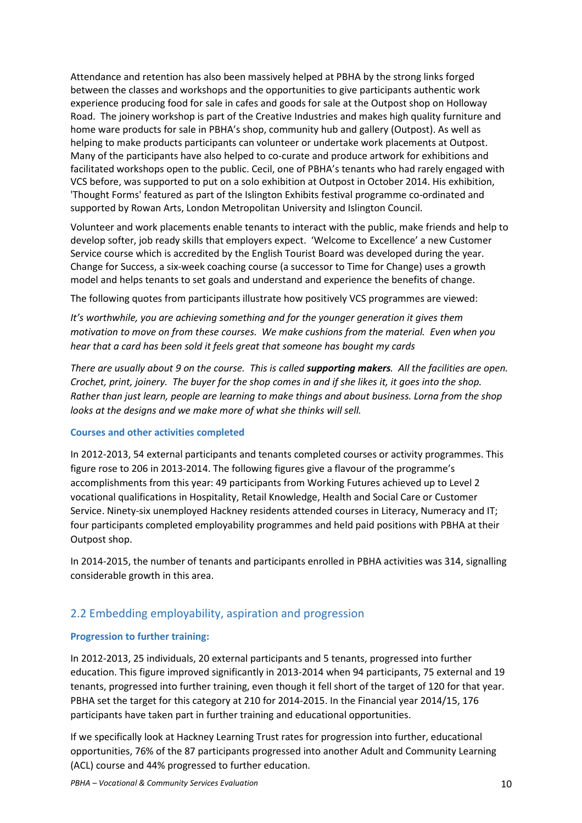Attendance and retention has also been massively helped at PBHA by the strong links forged between the classes and workshops and the opportunities to give participants authentic work experience producing food for sale in cafes and goods for sale at the Outpost shop on Holloway Road. The joinery workshop is part of the Creative Industries and makes high quality furniture and home ware products for sale in PBHA's shop, community hub and gallery (Outpost). As well as helping to make products participants can volunteer or undertake work placements at Outpost. Many of the participants have also helped to co-curate and produce artwork for exhibitions and facilitated workshops open to the public. Cecil, one of PBHA's tenants who had rarely engaged with VCS before, was supported to put on a solo exhibition at Outpost in October 2014. His exhibition, 'Thought Forms' featured as part of the Islington Exhibits festival programme co-ordinated and supported by Rowan Arts, London Metropolitan University and Islington Council.

Volunteer and work placements enable tenants to interact with the public, make friends and help to develop softer, job ready skills that employers expect. 'Welcome to Excellence' a new Customer Service course which is accredited by the English Tourist Board was developed during the year. Change for Success, a six-week coaching course (a successor to Time for Change) uses a growth model and helps tenants to set goals and understand and experience the benefits of change.

The following quotes from participants illustrate how positively VCS programmes are viewed:

*It's worthwhile, you are achieving something and for the younger generation it gives them motivation to move on from these courses. We make cushions from the material. Even when you hear that a card has been sold it feels great that someone has bought my cards* 

*There are usually about 9 on the course. This is called supporting makers. All the facilities are open. Crochet, print, joinery. The buyer for the shop comes in and if she likes it, it goes into the shop. Rather than just learn, people are learning to make things and about business. Lorna from the shop looks at the designs and we make more of what she thinks will sell.* 

### **Courses and other activities completed**

In 2012-2013, 54 external participants and tenants completed courses or activity programmes. This figure rose to 206 in 2013-2014. The following figures give a flavour of the programme's accomplishments from this year: 49 participants from Working Futures achieved up to Level 2 vocational qualifications in Hospitality, Retail Knowledge, Health and Social Care or Customer Service. Ninety-six unemployed Hackney residents attended courses in Literacy, Numeracy and IT; four participants completed employability programmes and held paid positions with PBHA at their Outpost shop.

In 2014-2015, the number of tenants and participants enrolled in PBHA activities was 314, signalling considerable growth in this area.

# 2.2 Embedding employability, aspiration and progression

## **Progression to further training:**

In 2012-2013, 25 individuals, 20 external participants and 5 tenants, progressed into further education. This figure improved significantly in 2013-2014 when 94 participants, 75 external and 19 tenants, progressed into further training, even though it fell short of the target of 120 for that year. PBHA set the target for this category at 210 for 2014-2015. In the Financial year 2014/15, 176 participants have taken part in further training and educational opportunities.

If we specifically look at Hackney Learning Trust rates for progression into further, educational opportunities, 76% of the 87 participants progressed into another Adult and Community Learning (ACL) course and 44% progressed to further education.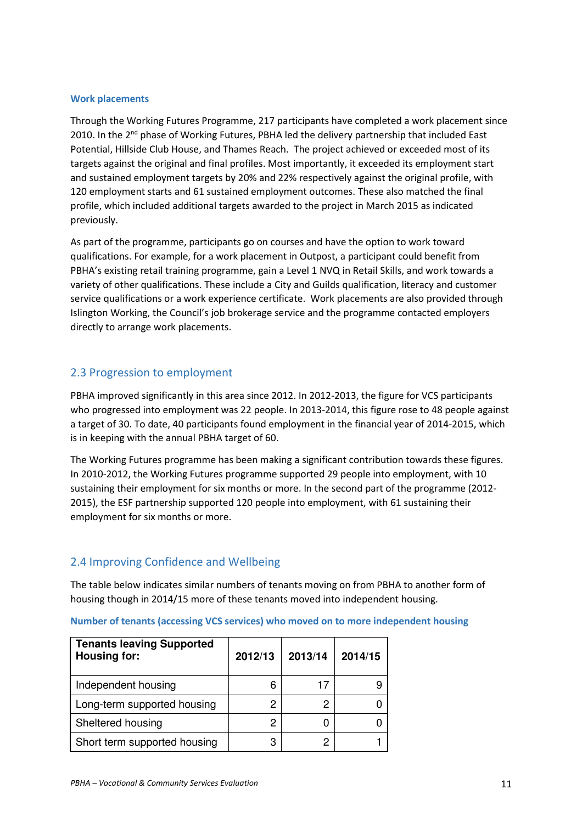### **Work placements**

Through the Working Futures Programme, 217 participants have completed a work placement since 2010. In the 2<sup>nd</sup> phase of Working Futures, PBHA led the delivery partnership that included East Potential, Hillside Club House, and Thames Reach. The project achieved or exceeded most of its targets against the original and final profiles. Most importantly, it exceeded its employment start and sustained employment targets by 20% and 22% respectively against the original profile, with 120 employment starts and 61 sustained employment outcomes. These also matched the final profile, which included additional targets awarded to the project in March 2015 as indicated previously.

As part of the programme, participants go on courses and have the option to work toward qualifications. For example, for a work placement in Outpost, a participant could benefit from PBHA's existing retail training programme, gain a Level 1 NVQ in Retail Skills, and work towards a variety of other qualifications. These include a City and Guilds qualification, literacy and customer service qualifications or a work experience certificate. Work placements are also provided through Islington Working, the Council's job brokerage service and the programme contacted employers directly to arrange work placements.

## 2.3 Progression to employment

PBHA improved significantly in this area since 2012. In 2012-2013, the figure for VCS participants who progressed into employment was 22 people. In 2013-2014, this figure rose to 48 people against a target of 30. To date, 40 participants found employment in the financial year of 2014-2015, which is in keeping with the annual PBHA target of 60.

The Working Futures programme has been making a significant contribution towards these figures. In 2010-2012, the Working Futures programme supported 29 people into employment, with 10 sustaining their employment for six months or more. In the second part of the programme (2012- 2015), the ESF partnership supported 120 people into employment, with 61 sustaining their employment for six months or more.

## 2.4 Improving Confidence and Wellbeing

The table below indicates similar numbers of tenants moving on from PBHA to another form of housing though in 2014/15 more of these tenants moved into independent housing.

|  | Number of tenants (accessing VCS services) who moved on to more independent housing |  |  |  |
|--|-------------------------------------------------------------------------------------|--|--|--|
|--|-------------------------------------------------------------------------------------|--|--|--|

| <b>Tenants leaving Supported</b><br>Housing for: | 2012/13 | 2013/14 | 2014/15 |
|--------------------------------------------------|---------|---------|---------|
| Independent housing                              | 6       | 17      |         |
| Long-term supported housing                      | 2       | 2       |         |
| Sheltered housing                                | 2       |         |         |
| Short term supported housing                     | 3       | 2       |         |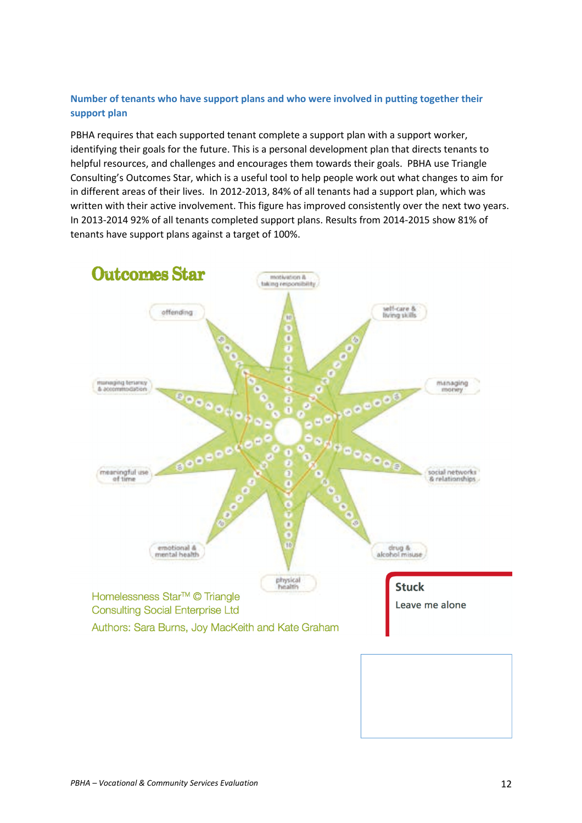## **Number of tenants who have support plans and who were involved in putting together their support plan**

PBHA requires that each supported tenant complete a support plan with a support worker, identifying their goals for the future. This is a personal development plan that directs tenants to helpful resources, and challenges and encourages them towards their goals. PBHA use Triangle Consulting's Outcomes Star, which is a useful tool to help people work out what changes to aim for in different areas of their lives. In 2012-2013, 84% of all tenants had a support plan, which was written with their active involvement. This figure has improved consistently over the next two years. In 2013-2014 92% of all tenants completed support plans. Results from 2014-2015 show 81% of tenants have support plans against a target of 100%.

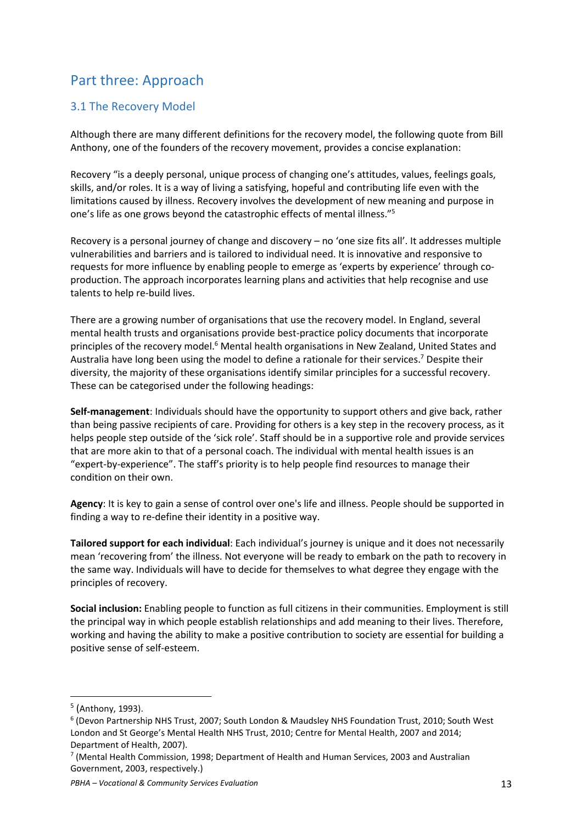# Part three: Approach

# 3.1 The Recovery Model

Although there are many different definitions for the recovery model, the following quote from Bill Anthony, one of the founders of the recovery movement, provides a concise explanation:

Recovery "is a deeply personal, unique process of changing one's attitudes, values, feelings goals, skills, and/or roles. It is a way of living a satisfying, hopeful and contributing life even with the limitations caused by illness. Recovery involves the development of new meaning and purpose in one's life as one grows beyond the catastrophic effects of mental illness."<sup>5</sup>

Recovery is a personal journey of change and discovery – no 'one size fits all'. It addresses multiple vulnerabilities and barriers and is tailored to individual need. It is innovative and responsive to requests for more influence by enabling people to emerge as 'experts by experience' through coproduction. The approach incorporates learning plans and activities that help recognise and use talents to help re-build lives.

There are a growing number of organisations that use the recovery model. In England, several mental health trusts and organisations provide best-practice policy documents that incorporate principles of the recovery model.<sup>6</sup> Mental health organisations in New Zealand, United States and Australia have long been using the model to define a rationale for their services.<sup>7</sup> Despite their diversity, the majority of these organisations identify similar principles for a successful recovery. These can be categorised under the following headings:

**Self-management**: Individuals should have the opportunity to support others and give back, rather than being passive recipients of care. Providing for others is a key step in the recovery process, as it helps people step outside of the 'sick role'. Staff should be in a supportive role and provide services that are more akin to that of a personal coach. The individual with mental health issues is an "expert-by-experience". The staff's priority is to help people find resources to manage their condition on their own.

**Agency**: It is key to gain a sense of control over one's life and illness. People should be supported in finding a way to re-define their identity in a positive way.

**Tailored support for each individual**: Each individual's journey is unique and it does not necessarily mean 'recovering from' the illness. Not everyone will be ready to embark on the path to recovery in the same way. Individuals will have to decide for themselves to what degree they engage with the principles of recovery.

**Social inclusion:** Enabling people to function as full citizens in their communities. Employment is still the principal way in which people establish relationships and add meaning to their lives. Therefore, working and having the ability to make a positive contribution to society are essential for building a positive sense of self-esteem.

 $\overline{a}$ 

<sup>&</sup>lt;sup>5</sup> (Anthony, 1993).

<sup>6</sup> (Devon Partnership NHS Trust, 2007; South London & Maudsley NHS Foundation Trust, 2010; South West London and St George's Mental Health NHS Trust, 2010; Centre for Mental Health, 2007 and 2014; Department of Health, 2007).

<sup>7</sup> (Mental Health Commission, 1998; Department of Health and Human Services, 2003 and Australian Government, 2003, respectively.)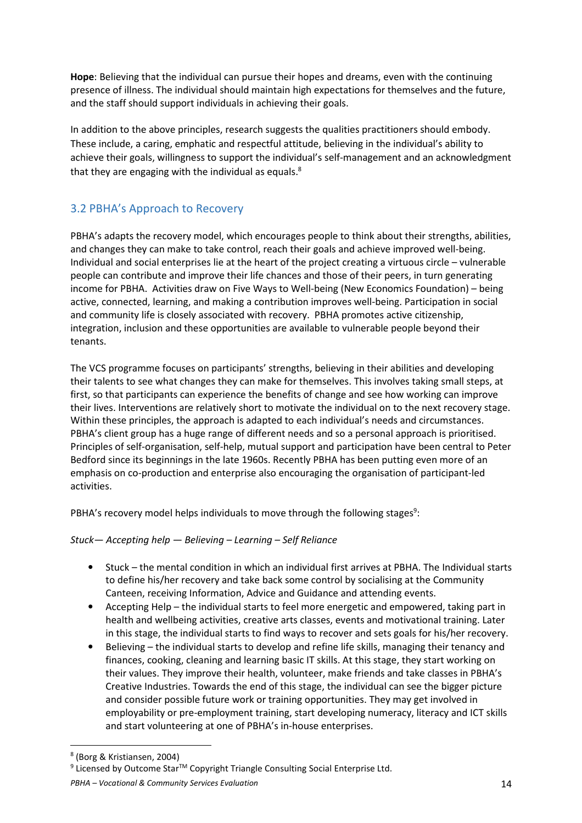**Hope**: Believing that the individual can pursue their hopes and dreams, even with the continuing presence of illness. The individual should maintain high expectations for themselves and the future, and the staff should support individuals in achieving their goals.

In addition to the above principles, research suggests the qualities practitioners should embody. These include, a caring, emphatic and respectful attitude, believing in the individual's ability to achieve their goals, willingness to support the individual's self-management and an acknowledgment that they are engaging with the individual as equals.<sup>8</sup>

# 3.2 PBHA's Approach to Recovery

PBHA's adapts the recovery model, which encourages people to think about their strengths, abilities, and changes they can make to take control, reach their goals and achieve improved well-being. Individual and social enterprises lie at the heart of the project creating a virtuous circle – vulnerable people can contribute and improve their life chances and those of their peers, in turn generating income for PBHA. Activities draw on Five Ways to Well-being (New Economics Foundation) – being active, connected, learning, and making a contribution improves well-being. Participation in social and community life is closely associated with recovery. PBHA promotes active citizenship, integration, inclusion and these opportunities are available to vulnerable people beyond their tenants.

The VCS programme focuses on participants' strengths, believing in their abilities and developing their talents to see what changes they can make for themselves. This involves taking small steps, at first, so that participants can experience the benefits of change and see how working can improve their lives. Interventions are relatively short to motivate the individual on to the next recovery stage. Within these principles, the approach is adapted to each individual's needs and circumstances. PBHA's client group has a huge range of different needs and so a personal approach is prioritised. Principles of self-organisation, self-help, mutual support and participation have been central to Peter Bedford since its beginnings in the late 1960s. Recently PBHA has been putting even more of an emphasis on co-production and enterprise also encouraging the organisation of participant-led activities.

PBHA's recovery model helps individuals to move through the following stages<sup>9</sup>:

## *Stuck— Accepting help — Believing – Learning – Self Reliance*

- Stuck the mental condition in which an individual first arrives at PBHA. The Individual starts to define his/her recovery and take back some control by socialising at the Community Canteen, receiving Information, Advice and Guidance and attending events.
- Accepting Help the individual starts to feel more energetic and empowered, taking part in health and wellbeing activities, creative arts classes, events and motivational training. Later in this stage, the individual starts to find ways to recover and sets goals for his/her recovery.
- Believing the individual starts to develop and refine life skills, managing their tenancy and finances, cooking, cleaning and learning basic IT skills. At this stage, they start working on their values. They improve their health, volunteer, make friends and take classes in PBHA's Creative Industries. Towards the end of this stage, the individual can see the bigger picture and consider possible future work or training opportunities. They may get involved in employability or pre-employment training, start developing numeracy, literacy and ICT skills and start volunteering at one of PBHA's in-house enterprises.

l

 $9$  Licensed by Outcome Star<sup>TM</sup> Copyright Triangle Consulting Social Enterprise Ltd.

<sup>8</sup> (Borg & Kristiansen, 2004)

*PBHA – Vocational & Community Services Evaluation* 14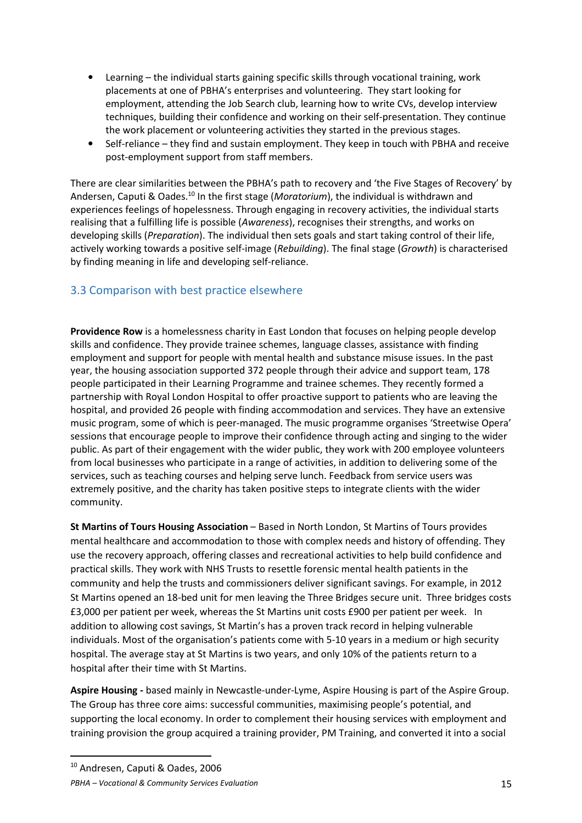- Learning the individual starts gaining specific skills through vocational training, work placements at one of PBHA's enterprises and volunteering. They start looking for employment, attending the Job Search club, learning how to write CVs, develop interview techniques, building their confidence and working on their self-presentation. They continue the work placement or volunteering activities they started in the previous stages.
- Self-reliance they find and sustain employment. They keep in touch with PBHA and receive post-employment support from staff members.

There are clear similarities between the PBHA's path to recovery and 'the Five Stages of Recovery' by Andersen, Caputi & Oades.<sup>10</sup> In the first stage (*Moratorium*), the individual is withdrawn and experiences feelings of hopelessness. Through engaging in recovery activities, the individual starts realising that a fulfilling life is possible (*Awareness*), recognises their strengths, and works on developing skills (*Preparation*). The individual then sets goals and start taking control of their life, actively working towards a positive self-image (*Rebuilding*). The final stage (*Growth*) is characterised by finding meaning in life and developing self-reliance.

# 3.3 Comparison with best practice elsewhere

**Providence Row** is a homelessness charity in East London that focuses on helping people develop skills and confidence. They provide trainee schemes, language classes, assistance with finding employment and support for people with mental health and substance misuse issues. In the past year, the housing association supported 372 people through their advice and support team, 178 people participated in their Learning Programme and trainee schemes. They recently formed a partnership with Royal London Hospital to offer proactive support to patients who are leaving the hospital, and provided 26 people with finding accommodation and services. They have an extensive music program, some of which is peer-managed. The music programme organises 'Streetwise Opera' sessions that encourage people to improve their confidence through acting and singing to the wider public. As part of their engagement with the wider public, they work with 200 employee volunteers from local businesses who participate in a range of activities, in addition to delivering some of the services, such as teaching courses and helping serve lunch. Feedback from service users was extremely positive, and the charity has taken positive steps to integrate clients with the wider community.

**St Martins of Tours Housing Association** – Based in North London, St Martins of Tours provides mental healthcare and accommodation to those with complex needs and history of offending. They use the recovery approach, offering classes and recreational activities to help build confidence and practical skills. They work with NHS Trusts to resettle forensic mental health patients in the community and help the trusts and commissioners deliver significant savings. For example, in 2012 St Martins opened an 18-bed unit for men leaving the Three Bridges secure unit. Three bridges costs £3,000 per patient per week, whereas the St Martins unit costs £900 per patient per week. In addition to allowing cost savings, St Martin's has a proven track record in helping vulnerable individuals. Most of the organisation's patients come with 5-10 years in a medium or high security hospital. The average stay at St Martins is two years, and only 10% of the patients return to a hospital after their time with St Martins.

**Aspire Housing -** based mainly in Newcastle-under-Lyme, Aspire Housing is part of the Aspire Group. The Group has three core aims: successful communities, maximising people's potential, and supporting the local economy. In order to complement their housing services with employment and training provision the group acquired a training provider, PM Training, and converted it into a social

 $\overline{a}$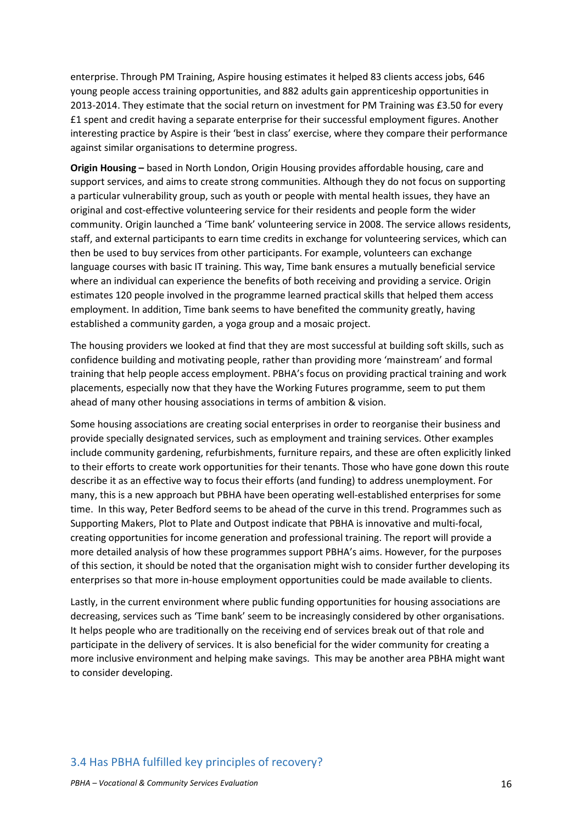enterprise. Through PM Training, Aspire housing estimates it helped 83 clients access jobs, 646 young people access training opportunities, and 882 adults gain apprenticeship opportunities in 2013-2014. They estimate that the social return on investment for PM Training was £3.50 for every £1 spent and credit having a separate enterprise for their successful employment figures. Another interesting practice by Aspire is their 'best in class' exercise, where they compare their performance against similar organisations to determine progress.

**Origin Housing –** based in North London, Origin Housing provides affordable housing, care and support services, and aims to create strong communities. Although they do not focus on supporting a particular vulnerability group, such as youth or people with mental health issues, they have an original and cost-effective volunteering service for their residents and people form the wider community. Origin launched a 'Time bank' volunteering service in 2008. The service allows residents, staff, and external participants to earn time credits in exchange for volunteering services, which can then be used to buy services from other participants. For example, volunteers can exchange language courses with basic IT training. This way, Time bank ensures a mutually beneficial service where an individual can experience the benefits of both receiving and providing a service. Origin estimates 120 people involved in the programme learned practical skills that helped them access employment. In addition, Time bank seems to have benefited the community greatly, having established a community garden, a yoga group and a mosaic project.

The housing providers we looked at find that they are most successful at building soft skills, such as confidence building and motivating people, rather than providing more 'mainstream' and formal training that help people access employment. PBHA's focus on providing practical training and work placements, especially now that they have the Working Futures programme, seem to put them ahead of many other housing associations in terms of ambition & vision.

Some housing associations are creating social enterprises in order to reorganise their business and provide specially designated services, such as employment and training services. Other examples include community gardening, refurbishments, furniture repairs, and these are often explicitly linked to their efforts to create work opportunities for their tenants. Those who have gone down this route describe it as an effective way to focus their efforts (and funding) to address unemployment. For many, this is a new approach but PBHA have been operating well-established enterprises for some time. In this way, Peter Bedford seems to be ahead of the curve in this trend. Programmes such as Supporting Makers, Plot to Plate and Outpost indicate that PBHA is innovative and multi-focal, creating opportunities for income generation and professional training. The report will provide a more detailed analysis of how these programmes support PBHA's aims. However, for the purposes of this section, it should be noted that the organisation might wish to consider further developing its enterprises so that more in-house employment opportunities could be made available to clients.

Lastly, in the current environment where public funding opportunities for housing associations are decreasing, services such as 'Time bank' seem to be increasingly considered by other organisations. It helps people who are traditionally on the receiving end of services break out of that role and participate in the delivery of services. It is also beneficial for the wider community for creating a more inclusive environment and helping make savings. This may be another area PBHA might want to consider developing.

## 3.4 Has PBHA fulfilled key principles of recovery?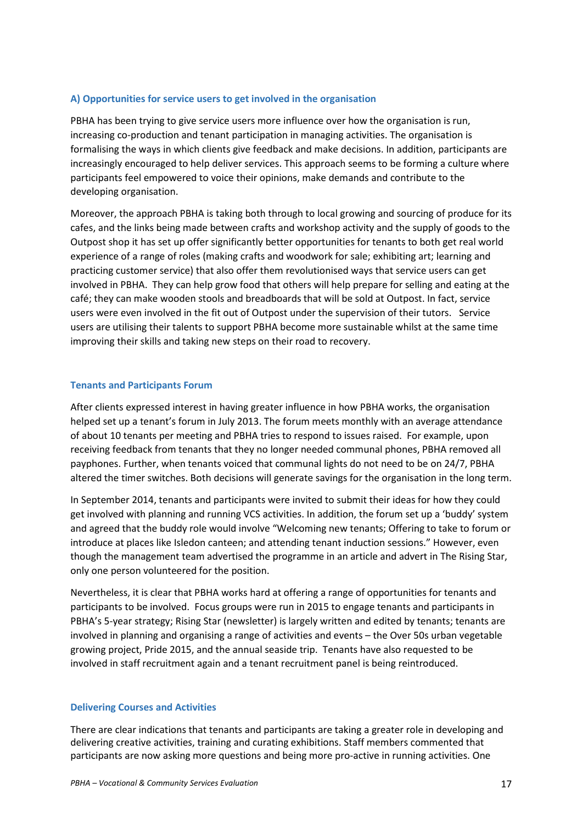## **A) Opportunities for service users to get involved in the organisation**

PBHA has been trying to give service users more influence over how the organisation is run, increasing co-production and tenant participation in managing activities. The organisation is formalising the ways in which clients give feedback and make decisions. In addition, participants are increasingly encouraged to help deliver services. This approach seems to be forming a culture where participants feel empowered to voice their opinions, make demands and contribute to the developing organisation.

Moreover, the approach PBHA is taking both through to local growing and sourcing of produce for its cafes, and the links being made between crafts and workshop activity and the supply of goods to the Outpost shop it has set up offer significantly better opportunities for tenants to both get real world experience of a range of roles (making crafts and woodwork for sale; exhibiting art; learning and practicing customer service) that also offer them revolutionised ways that service users can get involved in PBHA. They can help grow food that others will help prepare for selling and eating at the café; they can make wooden stools and breadboards that will be sold at Outpost. In fact, service users were even involved in the fit out of Outpost under the supervision of their tutors. Service users are utilising their talents to support PBHA become more sustainable whilst at the same time improving their skills and taking new steps on their road to recovery.

## **Tenants and Participants Forum**

After clients expressed interest in having greater influence in how PBHA works, the organisation helped set up a tenant's forum in July 2013. The forum meets monthly with an average attendance of about 10 tenants per meeting and PBHA tries to respond to issues raised. For example, upon receiving feedback from tenants that they no longer needed communal phones, PBHA removed all payphones. Further, when tenants voiced that communal lights do not need to be on 24/7, PBHA altered the timer switches. Both decisions will generate savings for the organisation in the long term.

In September 2014, tenants and participants were invited to submit their ideas for how they could get involved with planning and running VCS activities. In addition, the forum set up a 'buddy' system and agreed that the buddy role would involve "Welcoming new tenants; Offering to take to forum or introduce at places like Isledon canteen; and attending tenant induction sessions." However, even though the management team advertised the programme in an article and advert in The Rising Star, only one person volunteered for the position.

Nevertheless, it is clear that PBHA works hard at offering a range of opportunities for tenants and participants to be involved. Focus groups were run in 2015 to engage tenants and participants in PBHA's 5-year strategy; Rising Star (newsletter) is largely written and edited by tenants; tenants are involved in planning and organising a range of activities and events – the Over 50s urban vegetable growing project, Pride 2015, and the annual seaside trip. Tenants have also requested to be involved in staff recruitment again and a tenant recruitment panel is being reintroduced.

### **Delivering Courses and Activities**

There are clear indications that tenants and participants are taking a greater role in developing and delivering creative activities, training and curating exhibitions. Staff members commented that participants are now asking more questions and being more pro-active in running activities. One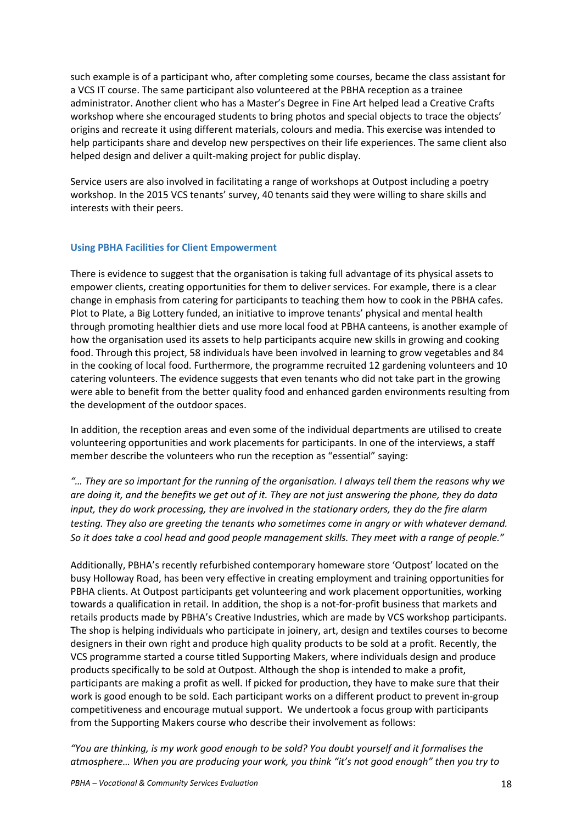such example is of a participant who, after completing some courses, became the class assistant for a VCS IT course. The same participant also volunteered at the PBHA reception as a trainee administrator. Another client who has a Master's Degree in Fine Art helped lead a Creative Crafts workshop where she encouraged students to bring photos and special objects to trace the objects' origins and recreate it using different materials, colours and media. This exercise was intended to help participants share and develop new perspectives on their life experiences. The same client also helped design and deliver a quilt-making project for public display.

Service users are also involved in facilitating a range of workshops at Outpost including a poetry workshop. In the 2015 VCS tenants' survey, 40 tenants said they were willing to share skills and interests with their peers.

### **Using PBHA Facilities for Client Empowerment**

There is evidence to suggest that the organisation is taking full advantage of its physical assets to empower clients, creating opportunities for them to deliver services. For example, there is a clear change in emphasis from catering for participants to teaching them how to cook in the PBHA cafes. Plot to Plate, a Big Lottery funded, an initiative to improve tenants' physical and mental health through promoting healthier diets and use more local food at PBHA canteens, is another example of how the organisation used its assets to help participants acquire new skills in growing and cooking food. Through this project, 58 individuals have been involved in learning to grow vegetables and 84 in the cooking of local food. Furthermore, the programme recruited 12 gardening volunteers and 10 catering volunteers. The evidence suggests that even tenants who did not take part in the growing were able to benefit from the better quality food and enhanced garden environments resulting from the development of the outdoor spaces.

In addition, the reception areas and even some of the individual departments are utilised to create volunteering opportunities and work placements for participants. In one of the interviews, a staff member describe the volunteers who run the reception as "essential" saying:

*"… They are so important for the running of the organisation. I always tell them the reasons why we are doing it, and the benefits we get out of it. They are not just answering the phone, they do data input, they do work processing, they are involved in the stationary orders, they do the fire alarm testing. They also are greeting the tenants who sometimes come in angry or with whatever demand. So it does take a cool head and good people management skills. They meet with a range of people."* 

Additionally, PBHA's recently refurbished contemporary homeware store 'Outpost' located on the busy Holloway Road, has been very effective in creating employment and training opportunities for PBHA clients. At Outpost participants get volunteering and work placement opportunities, working towards a qualification in retail. In addition, the shop is a not-for-profit business that markets and retails products made by PBHA's Creative Industries, which are made by VCS workshop participants. The shop is helping individuals who participate in joinery, art, design and textiles courses to become designers in their own right and produce high quality products to be sold at a profit. Recently, the VCS programme started a course titled Supporting Makers, where individuals design and produce products specifically to be sold at Outpost. Although the shop is intended to make a profit, participants are making a profit as well. If picked for production, they have to make sure that their work is good enough to be sold. Each participant works on a different product to prevent in-group competitiveness and encourage mutual support. We undertook a focus group with participants from the Supporting Makers course who describe their involvement as follows:

*"You are thinking, is my work good enough to be sold? You doubt yourself and it formalises the atmosphere… When you are producing your work, you think "it's not good enough" then you try to*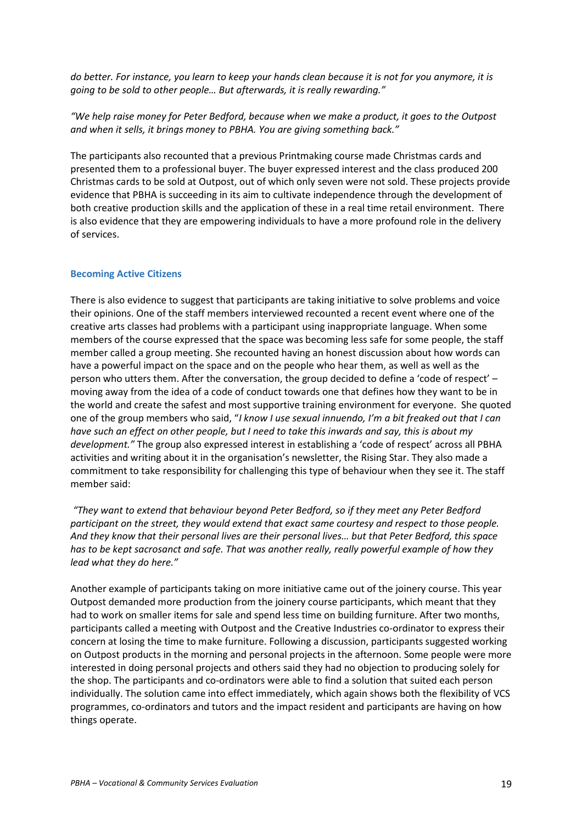*do better. For instance, you learn to keep your hands clean because it is not for you anymore, it is going to be sold to other people… But afterwards, it is really rewarding."* 

*"We help raise money for Peter Bedford, because when we make a product, it goes to the Outpost and when it sells, it brings money to PBHA. You are giving something back."* 

The participants also recounted that a previous Printmaking course made Christmas cards and presented them to a professional buyer. The buyer expressed interest and the class produced 200 Christmas cards to be sold at Outpost, out of which only seven were not sold. These projects provide evidence that PBHA is succeeding in its aim to cultivate independence through the development of both creative production skills and the application of these in a real time retail environment. There is also evidence that they are empowering individuals to have a more profound role in the delivery of services.

#### **Becoming Active Citizens**

There is also evidence to suggest that participants are taking initiative to solve problems and voice their opinions. One of the staff members interviewed recounted a recent event where one of the creative arts classes had problems with a participant using inappropriate language. When some members of the course expressed that the space was becoming less safe for some people, the staff member called a group meeting. She recounted having an honest discussion about how words can have a powerful impact on the space and on the people who hear them, as well as well as the person who utters them. After the conversation, the group decided to define a 'code of respect' – moving away from the idea of a code of conduct towards one that defines how they want to be in the world and create the safest and most supportive training environment for everyone. She quoted one of the group members who said, "*I know I use sexual innuendo, I'm a bit freaked out that I can have such an effect on other people, but I need to take this inwards and say, this is about my development."* The group also expressed interest in establishing a 'code of respect' across all PBHA activities and writing about it in the organisation's newsletter, the Rising Star. They also made a commitment to take responsibility for challenging this type of behaviour when they see it. The staff member said:

 *"They want to extend that behaviour beyond Peter Bedford, so if they meet any Peter Bedford participant on the street, they would extend that exact same courtesy and respect to those people. And they know that their personal lives are their personal lives… but that Peter Bedford, this space has to be kept sacrosanct and safe. That was another really, really powerful example of how they lead what they do here."* 

Another example of participants taking on more initiative came out of the joinery course. This year Outpost demanded more production from the joinery course participants, which meant that they had to work on smaller items for sale and spend less time on building furniture. After two months, participants called a meeting with Outpost and the Creative Industries co-ordinator to express their concern at losing the time to make furniture. Following a discussion, participants suggested working on Outpost products in the morning and personal projects in the afternoon. Some people were more interested in doing personal projects and others said they had no objection to producing solely for the shop. The participants and co-ordinators were able to find a solution that suited each person individually. The solution came into effect immediately, which again shows both the flexibility of VCS programmes, co-ordinators and tutors and the impact resident and participants are having on how things operate.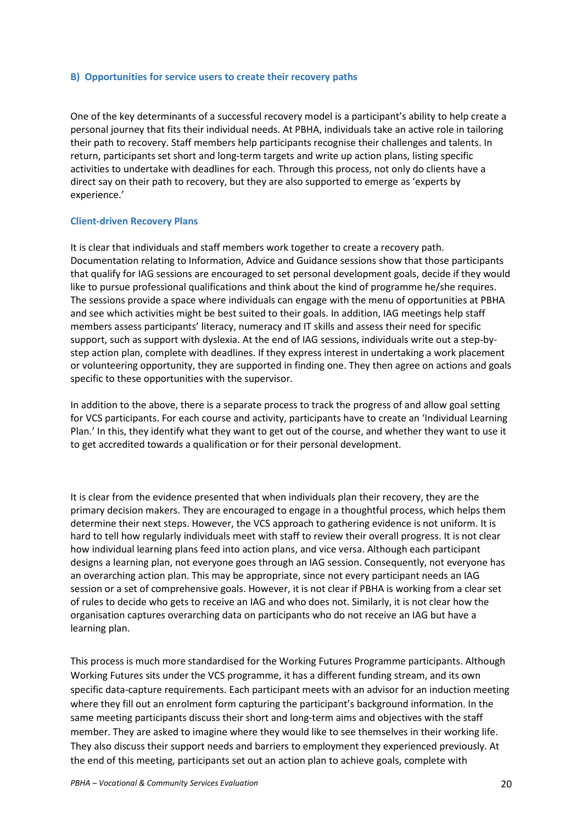#### **B) Opportunities for service users to create their recovery paths**

One of the key determinants of a successful recovery model is a participant's ability to help create a personal journey that fits their individual needs. At PBHA, individuals take an active role in tailoring their path to recovery. Staff members help participants recognise their challenges and talents. In return, participants set short and long-term targets and write up action plans, listing specific activities to undertake with deadlines for each. Through this process, not only do clients have a direct say on their path to recovery, but they are also supported to emerge as 'experts by experience.'

#### **Client-driven Recovery Plans**

It is clear that individuals and staff members work together to create a recovery path. Documentation relating to Information, Advice and Guidance sessions show that those participants that qualify for IAG sessions are encouraged to set personal development goals, decide if they would like to pursue professional qualifications and think about the kind of programme he/she requires. The sessions provide a space where individuals can engage with the menu of opportunities at PBHA and see which activities might be best suited to their goals. In addition, IAG meetings help staff members assess participants' literacy, numeracy and IT skills and assess their need for specific support, such as support with dyslexia. At the end of IAG sessions, individuals write out a step-bystep action plan, complete with deadlines. If they express interest in undertaking a work placement or volunteering opportunity, they are supported in finding one. They then agree on actions and goals specific to these opportunities with the supervisor.

In addition to the above, there is a separate process to track the progress of and allow goal setting for VCS participants. For each course and activity, participants have to create an 'Individual Learning Plan.' In this, they identify what they want to get out of the course, and whether they want to use it to get accredited towards a qualification or for their personal development.

It is clear from the evidence presented that when individuals plan their recovery, they are the primary decision makers. They are encouraged to engage in a thoughtful process, which helps them determine their next steps. However, the VCS approach to gathering evidence is not uniform. It is hard to tell how regularly individuals meet with staff to review their overall progress. It is not clear how individual learning plans feed into action plans, and vice versa. Although each participant designs a learning plan, not everyone goes through an IAG session. Consequently, not everyone has an overarching action plan. This may be appropriate, since not every participant needs an IAG session or a set of comprehensive goals. However, it is not clear if PBHA is working from a clear set of rules to decide who gets to receive an IAG and who does not. Similarly, it is not clear how the organisation captures overarching data on participants who do not receive an IAG but have a learning plan.

This process is much more standardised for the Working Futures Programme participants. Although Working Futures sits under the VCS programme, it has a different funding stream, and its own specific data-capture requirements. Each participant meets with an advisor for an induction meeting where they fill out an enrolment form capturing the participant's background information. In the same meeting participants discuss their short and long-term aims and objectives with the staff member. They are asked to imagine where they would like to see themselves in their working life. They also discuss their support needs and barriers to employment they experienced previously. At the end of this meeting, participants set out an action plan to achieve goals, complete with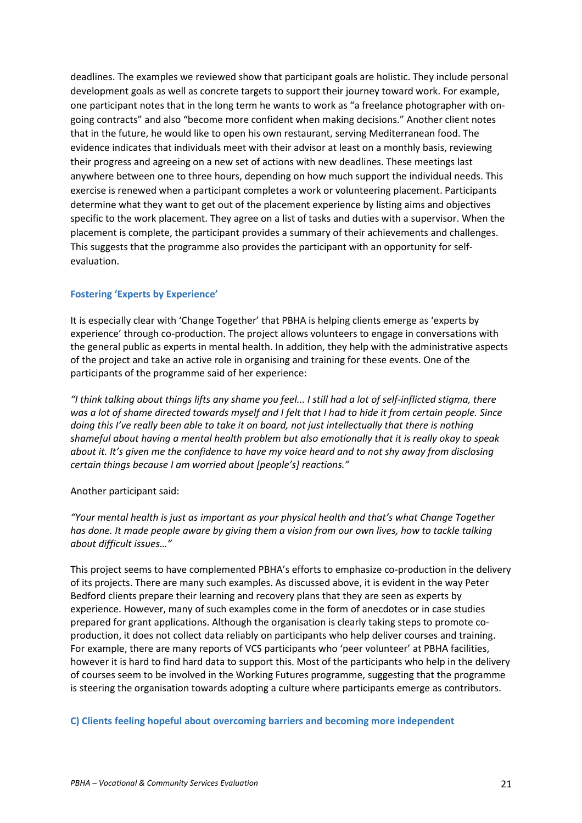deadlines. The examples we reviewed show that participant goals are holistic. They include personal development goals as well as concrete targets to support their journey toward work. For example, one participant notes that in the long term he wants to work as "a freelance photographer with ongoing contracts" and also "become more confident when making decisions." Another client notes that in the future, he would like to open his own restaurant, serving Mediterranean food. The evidence indicates that individuals meet with their advisor at least on a monthly basis, reviewing their progress and agreeing on a new set of actions with new deadlines. These meetings last anywhere between one to three hours, depending on how much support the individual needs. This exercise is renewed when a participant completes a work or volunteering placement. Participants determine what they want to get out of the placement experience by listing aims and objectives specific to the work placement. They agree on a list of tasks and duties with a supervisor. When the placement is complete, the participant provides a summary of their achievements and challenges. This suggests that the programme also provides the participant with an opportunity for selfevaluation.

### **Fostering 'Experts by Experience'**

It is especially clear with 'Change Together' that PBHA is helping clients emerge as 'experts by experience' through co-production. The project allows volunteers to engage in conversations with the general public as experts in mental health. In addition, they help with the administrative aspects of the project and take an active role in organising and training for these events. One of the participants of the programme said of her experience:

*"I think talking about things lifts any shame you feel... I still had a lot of self-inflicted stigma, there was a lot of shame directed towards myself and I felt that I had to hide it from certain people. Since doing this I've really been able to take it on board, not just intellectually that there is nothing shameful about having a mental health problem but also emotionally that it is really okay to speak about it. It's given me the confidence to have my voice heard and to not shy away from disclosing certain things because I am worried about [people's] reactions."* 

#### Another participant said:

*"Your mental health is just as important as your physical health and that's what Change Together has done. It made people aware by giving them a vision from our own lives, how to tackle talking about difficult issues…"* 

This project seems to have complemented PBHA's efforts to emphasize co-production in the delivery of its projects. There are many such examples. As discussed above, it is evident in the way Peter Bedford clients prepare their learning and recovery plans that they are seen as experts by experience. However, many of such examples come in the form of anecdotes or in case studies prepared for grant applications. Although the organisation is clearly taking steps to promote coproduction, it does not collect data reliably on participants who help deliver courses and training. For example, there are many reports of VCS participants who 'peer volunteer' at PBHA facilities, however it is hard to find hard data to support this. Most of the participants who help in the delivery of courses seem to be involved in the Working Futures programme, suggesting that the programme is steering the organisation towards adopting a culture where participants emerge as contributors.

**C) Clients feeling hopeful about overcoming barriers and becoming more independent**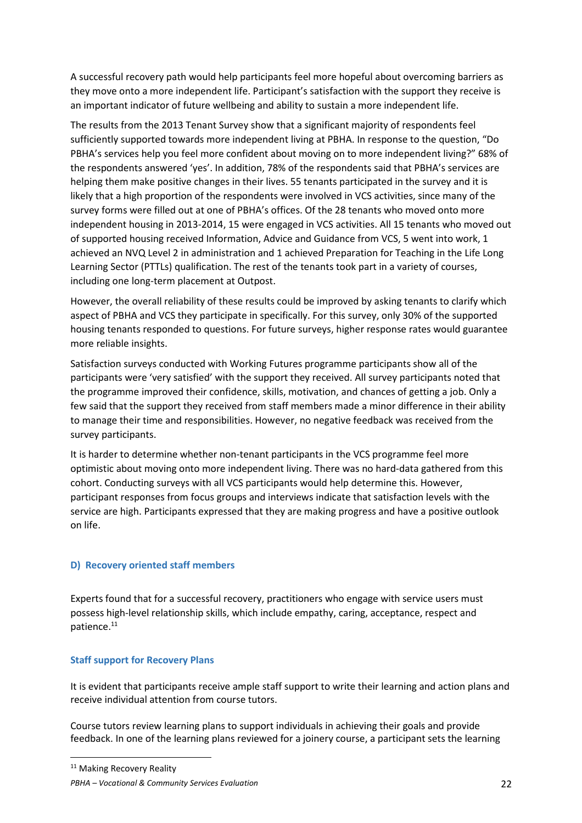A successful recovery path would help participants feel more hopeful about overcoming barriers as they move onto a more independent life. Participant's satisfaction with the support they receive is an important indicator of future wellbeing and ability to sustain a more independent life.

The results from the 2013 Tenant Survey show that a significant majority of respondents feel sufficiently supported towards more independent living at PBHA. In response to the question, "Do PBHA's services help you feel more confident about moving on to more independent living?" 68% of the respondents answered 'yes'. In addition, 78% of the respondents said that PBHA's services are helping them make positive changes in their lives. 55 tenants participated in the survey and it is likely that a high proportion of the respondents were involved in VCS activities, since many of the survey forms were filled out at one of PBHA's offices. Of the 28 tenants who moved onto more independent housing in 2013-2014, 15 were engaged in VCS activities. All 15 tenants who moved out of supported housing received Information, Advice and Guidance from VCS, 5 went into work, 1 achieved an NVQ Level 2 in administration and 1 achieved Preparation for Teaching in the Life Long Learning Sector (PTTLs) qualification. The rest of the tenants took part in a variety of courses, including one long-term placement at Outpost.

However, the overall reliability of these results could be improved by asking tenants to clarify which aspect of PBHA and VCS they participate in specifically. For this survey, only 30% of the supported housing tenants responded to questions. For future surveys, higher response rates would guarantee more reliable insights.

Satisfaction surveys conducted with Working Futures programme participants show all of the participants were 'very satisfied' with the support they received. All survey participants noted that the programme improved their confidence, skills, motivation, and chances of getting a job. Only a few said that the support they received from staff members made a minor difference in their ability to manage their time and responsibilities. However, no negative feedback was received from the survey participants.

It is harder to determine whether non-tenant participants in the VCS programme feel more optimistic about moving onto more independent living. There was no hard-data gathered from this cohort. Conducting surveys with all VCS participants would help determine this. However, participant responses from focus groups and interviews indicate that satisfaction levels with the service are high. Participants expressed that they are making progress and have a positive outlook on life.

## **D) Recovery oriented staff members**

Experts found that for a successful recovery, practitioners who engage with service users must possess high-level relationship skills, which include empathy, caring, acceptance, respect and patience.<sup>11</sup>

## **Staff support for Recovery Plans**

 $\overline{\phantom{0}}$ 

It is evident that participants receive ample staff support to write their learning and action plans and receive individual attention from course tutors.

Course tutors review learning plans to support individuals in achieving their goals and provide feedback. In one of the learning plans reviewed for a joinery course, a participant sets the learning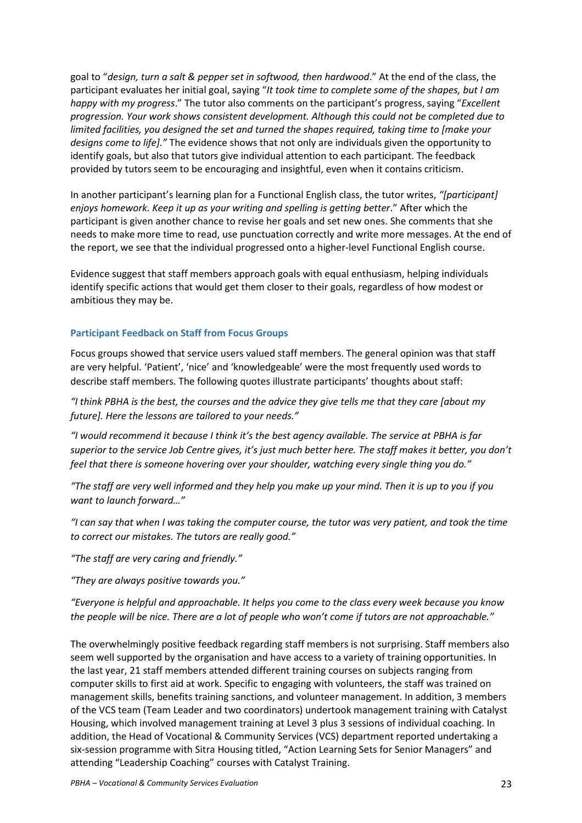goal to "*design, turn a salt & pepper set in softwood, then hardwood*." At the end of the class, the participant evaluates her initial goal, saying "*It took time to complete some of the shapes, but I am happy with my progress*." The tutor also comments on the participant's progress, saying "*Excellent progression. Your work shows consistent development. Although this could not be completed due to limited facilities, you designed the set and turned the shapes required, taking time to [make your designs come to life]."* The evidence shows that not only are individuals given the opportunity to identify goals, but also that tutors give individual attention to each participant. The feedback provided by tutors seem to be encouraging and insightful, even when it contains criticism.

In another participant's learning plan for a Functional English class, the tutor writes, *"[participant] enjoys homework. Keep it up as your writing and spelling is getting better*." After which the participant is given another chance to revise her goals and set new ones. She comments that she needs to make more time to read, use punctuation correctly and write more messages. At the end of the report, we see that the individual progressed onto a higher-level Functional English course.

Evidence suggest that staff members approach goals with equal enthusiasm, helping individuals identify specific actions that would get them closer to their goals, regardless of how modest or ambitious they may be.

### **Participant Feedback on Staff from Focus Groups**

Focus groups showed that service users valued staff members. The general opinion was that staff are very helpful. 'Patient', 'nice' and 'knowledgeable' were the most frequently used words to describe staff members. The following quotes illustrate participants' thoughts about staff:

*"I think PBHA is the best, the courses and the advice they give tells me that they care [about my future]. Here the lessons are tailored to your needs."* 

*"I would recommend it because I think it's the best agency available. The service at PBHA is far superior to the service Job Centre gives, it's just much better here. The staff makes it better, you don't feel that there is someone hovering over your shoulder, watching every single thing you do."* 

*"The staff are very well informed and they help you make up your mind. Then it is up to you if you want to launch forward…"* 

*"I can say that when I was taking the computer course, the tutor was very patient, and took the time to correct our mistakes. The tutors are really good."* 

*"The staff are very caring and friendly."* 

*"They are always positive towards you."* 

*"Everyone is helpful and approachable. It helps you come to the class every week because you know the people will be nice. There are a lot of people who won't come if tutors are not approachable."* 

The overwhelmingly positive feedback regarding staff members is not surprising. Staff members also seem well supported by the organisation and have access to a variety of training opportunities. In the last year, 21 staff members attended different training courses on subjects ranging from computer skills to first aid at work. Specific to engaging with volunteers, the staff was trained on management skills, benefits training sanctions, and volunteer management. In addition, 3 members of the VCS team (Team Leader and two coordinators) undertook management training with Catalyst Housing, which involved management training at Level 3 plus 3 sessions of individual coaching. In addition, the Head of Vocational & Community Services (VCS) department reported undertaking a six-session programme with Sitra Housing titled, "Action Learning Sets for Senior Managers" and attending "Leadership Coaching" courses with Catalyst Training.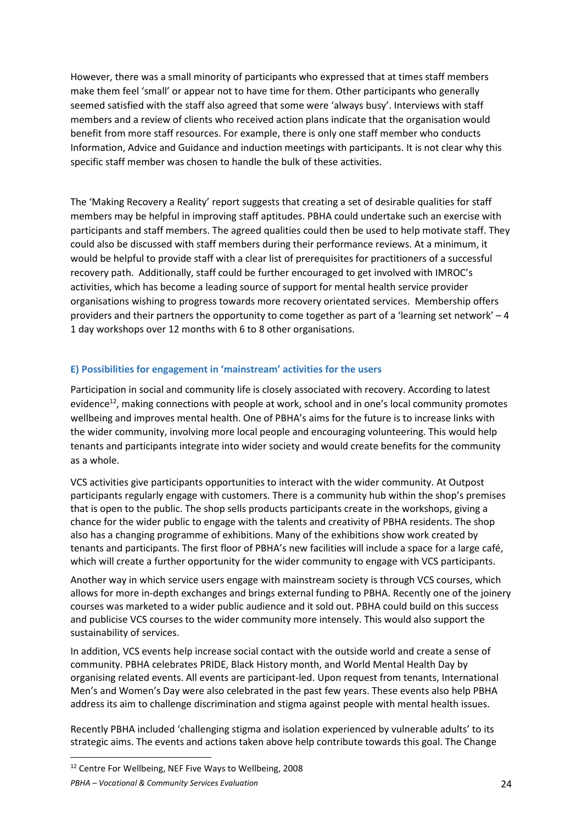However, there was a small minority of participants who expressed that at times staff members make them feel 'small' or appear not to have time for them. Other participants who generally seemed satisfied with the staff also agreed that some were 'always busy'. Interviews with staff members and a review of clients who received action plans indicate that the organisation would benefit from more staff resources. For example, there is only one staff member who conducts Information, Advice and Guidance and induction meetings with participants. It is not clear why this specific staff member was chosen to handle the bulk of these activities.

The 'Making Recovery a Reality' report suggests that creating a set of desirable qualities for staff members may be helpful in improving staff aptitudes. PBHA could undertake such an exercise with participants and staff members. The agreed qualities could then be used to help motivate staff. They could also be discussed with staff members during their performance reviews. At a minimum, it would be helpful to provide staff with a clear list of prerequisites for practitioners of a successful recovery path. Additionally, staff could be further encouraged to get involved with IMROC's activities, which has become a leading source of support for mental health service provider organisations wishing to progress towards more recovery orientated services. Membership offers providers and their partners the opportunity to come together as part of a 'learning set network' – 4 1 day workshops over 12 months with 6 to 8 other organisations.

## **E) Possibilities for engagement in 'mainstream' activities for the users**

Participation in social and community life is closely associated with recovery. According to latest evidence<sup>12</sup>, making connections with people at work, school and in one's local community promotes wellbeing and improves mental health. One of PBHA's aims for the future is to increase links with the wider community, involving more local people and encouraging volunteering. This would help tenants and participants integrate into wider society and would create benefits for the community as a whole.

VCS activities give participants opportunities to interact with the wider community. At Outpost participants regularly engage with customers. There is a community hub within the shop's premises that is open to the public. The shop sells products participants create in the workshops, giving a chance for the wider public to engage with the talents and creativity of PBHA residents. The shop also has a changing programme of exhibitions. Many of the exhibitions show work created by tenants and participants. The first floor of PBHA's new facilities will include a space for a large café, which will create a further opportunity for the wider community to engage with VCS participants.

Another way in which service users engage with mainstream society is through VCS courses, which allows for more in-depth exchanges and brings external funding to PBHA. Recently one of the joinery courses was marketed to a wider public audience and it sold out. PBHA could build on this success and publicise VCS courses to the wider community more intensely. This would also support the sustainability of services.

In addition, VCS events help increase social contact with the outside world and create a sense of community. PBHA celebrates PRIDE, Black History month, and World Mental Health Day by organising related events. All events are participant-led. Upon request from tenants, International Men's and Women's Day were also celebrated in the past few years. These events also help PBHA address its aim to challenge discrimination and stigma against people with mental health issues.

Recently PBHA included 'challenging stigma and isolation experienced by vulnerable adults' to its strategic aims. The events and actions taken above help contribute towards this goal. The Change

 $\overline{\phantom{0}}$ 

*PBHA – Vocational & Community Services Evaluation* 24 <sup>12</sup> Centre For Wellbeing, NEF Five Ways to Wellbeing, 2008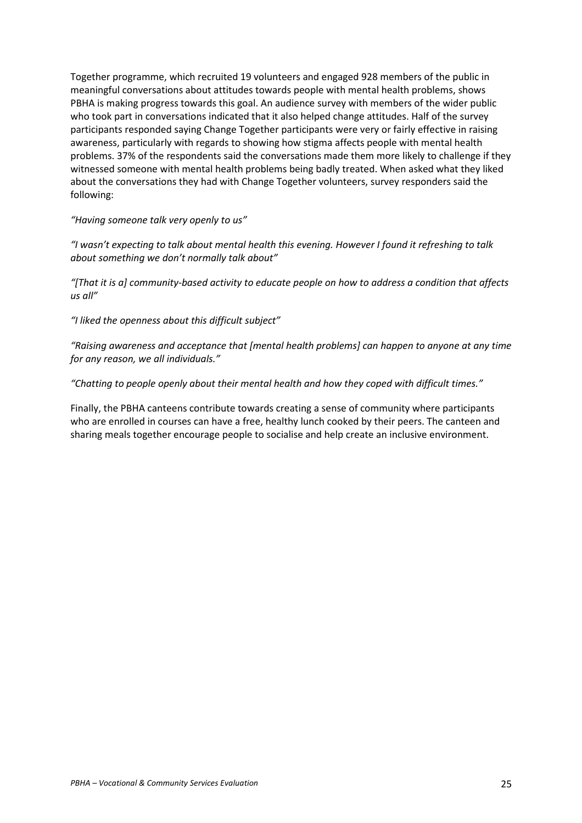Together programme, which recruited 19 volunteers and engaged 928 members of the public in meaningful conversations about attitudes towards people with mental health problems, shows PBHA is making progress towards this goal. An audience survey with members of the wider public who took part in conversations indicated that it also helped change attitudes. Half of the survey participants responded saying Change Together participants were very or fairly effective in raising awareness, particularly with regards to showing how stigma affects people with mental health problems. 37% of the respondents said the conversations made them more likely to challenge if they witnessed someone with mental health problems being badly treated. When asked what they liked about the conversations they had with Change Together volunteers, survey responders said the following:

*"Having someone talk very openly to us"* 

*"I wasn't expecting to talk about mental health this evening. However I found it refreshing to talk about something we don't normally talk about"* 

*"[That it is a] community-based activity to educate people on how to address a condition that affects us all"* 

*"I liked the openness about this difficult subject"*

*"Raising awareness and acceptance that [mental health problems] can happen to anyone at any time for any reason, we all individuals."* 

*"Chatting to people openly about their mental health and how they coped with difficult times."* 

Finally, the PBHA canteens contribute towards creating a sense of community where participants who are enrolled in courses can have a free, healthy lunch cooked by their peers. The canteen and sharing meals together encourage people to socialise and help create an inclusive environment.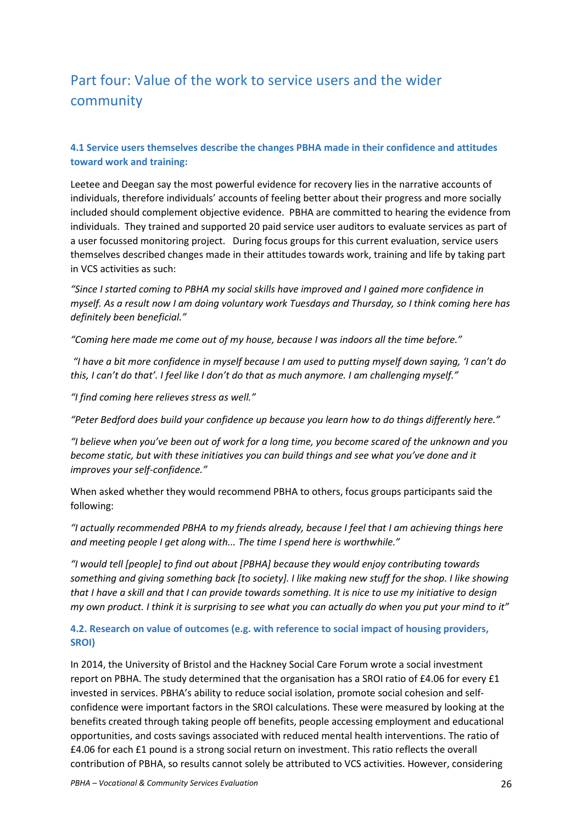# Part four: Value of the work to service users and the wider community

## **4.1 Service users themselves describe the changes PBHA made in their confidence and attitudes toward work and training:**

Leetee and Deegan say the most powerful evidence for recovery lies in the narrative accounts of individuals, therefore individuals' accounts of feeling better about their progress and more socially included should complement objective evidence. PBHA are committed to hearing the evidence from individuals. They trained and supported 20 paid service user auditors to evaluate services as part of a user focussed monitoring project. During focus groups for this current evaluation, service users themselves described changes made in their attitudes towards work, training and life by taking part in VCS activities as such:

*"Since I started coming to PBHA my social skills have improved and I gained more confidence in myself. As a result now I am doing voluntary work Tuesdays and Thursday, so I think coming here has definitely been beneficial."* 

*"Coming here made me come out of my house, because I was indoors all the time before."* 

 *"I have a bit more confidence in myself because I am used to putting myself down saying, 'I can't do this, I can't do that'. I feel like I don't do that as much anymore. I am challenging myself."* 

*"I find coming here relieves stress as well."* 

*"Peter Bedford does build your confidence up because you learn how to do things differently here."* 

*"I believe when you've been out of work for a long time, you become scared of the unknown and you become static, but with these initiatives you can build things and see what you've done and it improves your self-confidence."* 

When asked whether they would recommend PBHA to others, focus groups participants said the following:

*"I actually recommended PBHA to my friends already, because I feel that I am achieving things here and meeting people I get along with... The time I spend here is worthwhile."* 

*"I would tell [people] to find out about [PBHA] because they would enjoy contributing towards something and giving something back [to society]. I like making new stuff for the shop. I like showing that I have a skill and that I can provide towards something. It is nice to use my initiative to design my own product. I think it is surprising to see what you can actually do when you put your mind to it"* 

## **4.2. Research on value of outcomes (e.g. with reference to social impact of housing providers, SROI)**

In 2014, the University of Bristol and the Hackney Social Care Forum wrote a social investment report on PBHA. The study determined that the organisation has a SROI ratio of £4.06 for every £1 invested in services. PBHA's ability to reduce social isolation, promote social cohesion and selfconfidence were important factors in the SROI calculations. These were measured by looking at the benefits created through taking people off benefits, people accessing employment and educational opportunities, and costs savings associated with reduced mental health interventions. The ratio of £4.06 for each £1 pound is a strong social return on investment. This ratio reflects the overall contribution of PBHA, so results cannot solely be attributed to VCS activities. However, considering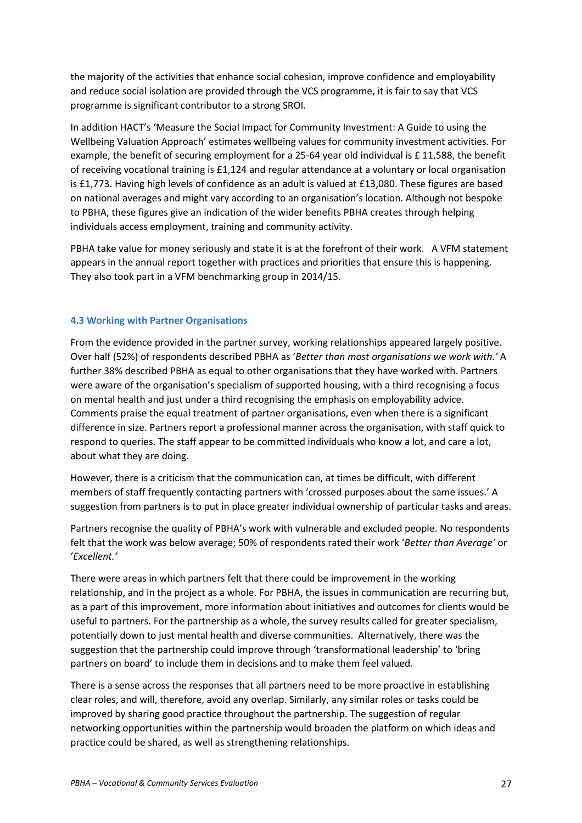the majority of the activities that enhance social cohesion, improve confidence and employability and reduce social isolation are provided through the VCS programme, it is fair to say that VCS programme is significant contributor to a strong SROI.

In addition HACT's 'Measure the Social Impact for Community Investment: A Guide to using the Wellbeing Valuation Approach' estimates wellbeing values for community investment activities. For example, the benefit of securing employment for a 25-64 year old individual is £ 11,588, the benefit of receiving vocational training is £1,124 and regular attendance at a voluntary or local organisation is £1,773. Having high levels of confidence as an adult is valued at £13,080. These figures are based on national averages and might vary according to an organisation's location. Although not bespoke to PBHA, these figures give an indication of the wider benefits PBHA creates through helping individuals access employment, training and community activity.

PBHA take value for money seriously and state it is at the forefront of their work. A VFM statement appears in the annual report together with practices and priorities that ensure this is happening. They also took part in a VFM benchmarking group in 2014/15.

## **4.3 Working with Partner Organisations**

From the evidence provided in the partner survey, working relationships appeared largely positive. Over half (52%) of respondents described PBHA as '*Better than most organisations we work with.'* A further 38% described PBHA as equal to other organisations that they have worked with. Partners were aware of the organisation's specialism of supported housing, with a third recognising a focus on mental health and just under a third recognising the emphasis on employability advice. Comments praise the equal treatment of partner organisations, even when there is a significant difference in size. Partners report a professional manner across the organisation, with staff quick to respond to queries. The staff appear to be committed individuals who know a lot, and care a lot, about what they are doing.

However, there is a criticism that the communication can, at times be difficult, with different members of staff frequently contacting partners with 'crossed purposes about the same issues.' A suggestion from partners is to put in place greater individual ownership of particular tasks and areas.

Partners recognise the quality of PBHA's work with vulnerable and excluded people. No respondents felt that the work was below average; 50% of respondents rated their work '*Better than Average'* or '*Excellent.'* 

There were areas in which partners felt that there could be improvement in the working relationship, and in the project as a whole. For PBHA, the issues in communication are recurring but, as a part of this improvement, more information about initiatives and outcomes for clients would be useful to partners. For the partnership as a whole, the survey results called for greater specialism, potentially down to just mental health and diverse communities. Alternatively, there was the suggestion that the partnership could improve through 'transformational leadership' to 'bring partners on board' to include them in decisions and to make them feel valued.

There is a sense across the responses that all partners need to be more proactive in establishing clear roles, and will, therefore, avoid any overlap. Similarly, any similar roles or tasks could be improved by sharing good practice throughout the partnership. The suggestion of regular networking opportunities within the partnership would broaden the platform on which ideas and practice could be shared, as well as strengthening relationships.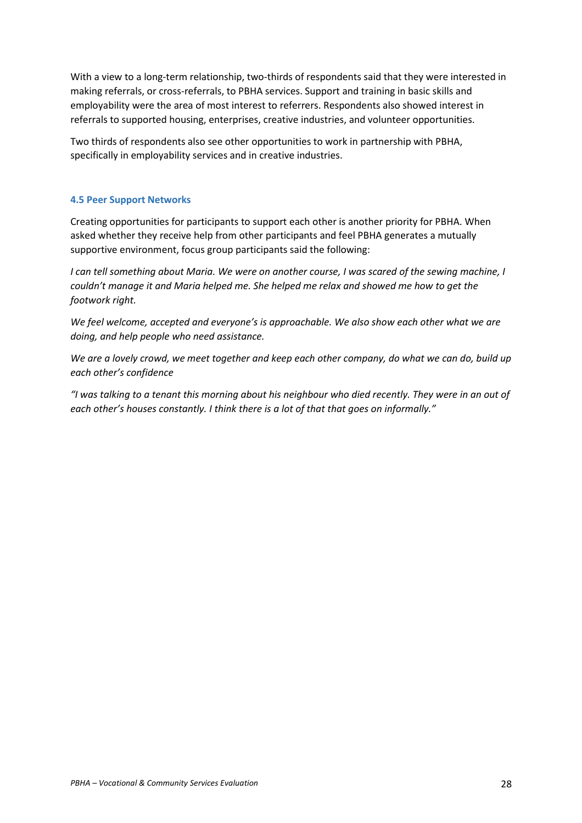With a view to a long-term relationship, two-thirds of respondents said that they were interested in making referrals, or cross-referrals, to PBHA services. Support and training in basic skills and employability were the area of most interest to referrers. Respondents also showed interest in referrals to supported housing, enterprises, creative industries, and volunteer opportunities.

Two thirds of respondents also see other opportunities to work in partnership with PBHA, specifically in employability services and in creative industries.

## **4.5 Peer Support Networks**

Creating opportunities for participants to support each other is another priority for PBHA. When asked whether they receive help from other participants and feel PBHA generates a mutually supportive environment, focus group participants said the following:

*I can tell something about Maria. We were on another course, I was scared of the sewing machine, I couldn't manage it and Maria helped me. She helped me relax and showed me how to get the footwork right.*

*We feel welcome, accepted and everyone's is approachable. We also show each other what we are doing, and help people who need assistance.* 

*We are a lovely crowd, we meet together and keep each other company, do what we can do, build up each other's confidence*

*"I was talking to a tenant this morning about his neighbour who died recently. They were in an out of each other's houses constantly. I think there is a lot of that that goes on informally."*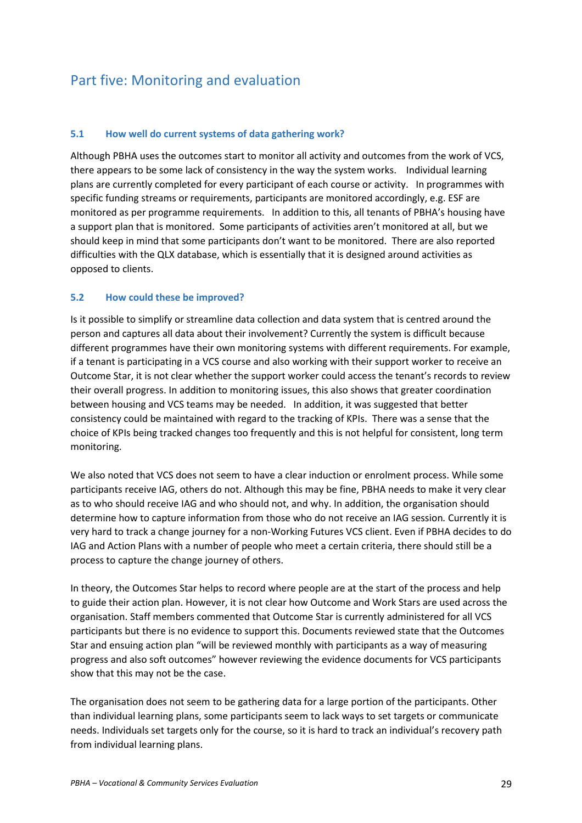# Part five: Monitoring and evaluation

## **5.1 How well do current systems of data gathering work?**

Although PBHA uses the outcomes start to monitor all activity and outcomes from the work of VCS, there appears to be some lack of consistency in the way the system works. Individual learning plans are currently completed for every participant of each course or activity. In programmes with specific funding streams or requirements, participants are monitored accordingly, e.g. ESF are monitored as per programme requirements. In addition to this, all tenants of PBHA's housing have a support plan that is monitored. Some participants of activities aren't monitored at all, but we should keep in mind that some participants don't want to be monitored. There are also reported difficulties with the QLX database, which is essentially that it is designed around activities as opposed to clients.

## **5.2 How could these be improved?**

Is it possible to simplify or streamline data collection and data system that is centred around the person and captures all data about their involvement? Currently the system is difficult because different programmes have their own monitoring systems with different requirements. For example, if a tenant is participating in a VCS course and also working with their support worker to receive an Outcome Star, it is not clear whether the support worker could access the tenant's records to review their overall progress. In addition to monitoring issues, this also shows that greater coordination between housing and VCS teams may be needed. In addition, it was suggested that better consistency could be maintained with regard to the tracking of KPIs. There was a sense that the choice of KPIs being tracked changes too frequently and this is not helpful for consistent, long term monitoring.

We also noted that VCS does not seem to have a clear induction or enrolment process. While some participants receive IAG, others do not. Although this may be fine, PBHA needs to make it very clear as to who should receive IAG and who should not, and why. In addition, the organisation should determine how to capture information from those who do not receive an IAG session*.* Currently it is very hard to track a change journey for a non-Working Futures VCS client. Even if PBHA decides to do IAG and Action Plans with a number of people who meet a certain criteria, there should still be a process to capture the change journey of others.

In theory, the Outcomes Star helps to record where people are at the start of the process and help to guide their action plan. However, it is not clear how Outcome and Work Stars are used across the organisation. Staff members commented that Outcome Star is currently administered for all VCS participants but there is no evidence to support this. Documents reviewed state that the Outcomes Star and ensuing action plan "will be reviewed monthly with participants as a way of measuring progress and also soft outcomes" however reviewing the evidence documents for VCS participants show that this may not be the case.

The organisation does not seem to be gathering data for a large portion of the participants. Other than individual learning plans, some participants seem to lack ways to set targets or communicate needs. Individuals set targets only for the course, so it is hard to track an individual's recovery path from individual learning plans.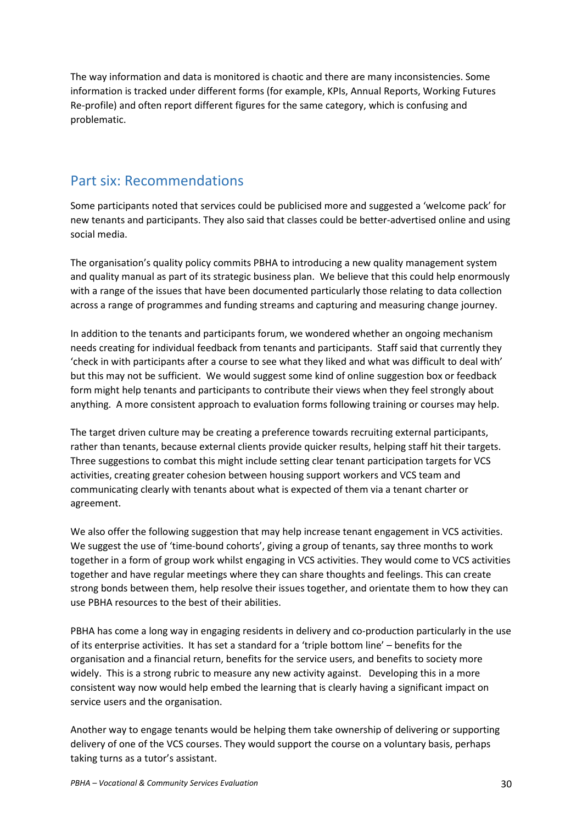The way information and data is monitored is chaotic and there are many inconsistencies. Some information is tracked under different forms (for example, KPIs, Annual Reports, Working Futures Re-profile) and often report different figures for the same category, which is confusing and problematic.

# Part six: Recommendations

Some participants noted that services could be publicised more and suggested a 'welcome pack' for new tenants and participants. They also said that classes could be better-advertised online and using social media.

The organisation's quality policy commits PBHA to introducing a new quality management system and quality manual as part of its strategic business plan. We believe that this could help enormously with a range of the issues that have been documented particularly those relating to data collection across a range of programmes and funding streams and capturing and measuring change journey.

In addition to the tenants and participants forum, we wondered whether an ongoing mechanism needs creating for individual feedback from tenants and participants. Staff said that currently they 'check in with participants after a course to see what they liked and what was difficult to deal with' but this may not be sufficient. We would suggest some kind of online suggestion box or feedback form might help tenants and participants to contribute their views when they feel strongly about anything. A more consistent approach to evaluation forms following training or courses may help.

The target driven culture may be creating a preference towards recruiting external participants, rather than tenants, because external clients provide quicker results, helping staff hit their targets. Three suggestions to combat this might include setting clear tenant participation targets for VCS activities, creating greater cohesion between housing support workers and VCS team and communicating clearly with tenants about what is expected of them via a tenant charter or agreement.

We also offer the following suggestion that may help increase tenant engagement in VCS activities. We suggest the use of 'time-bound cohorts', giving a group of tenants, say three months to work together in a form of group work whilst engaging in VCS activities. They would come to VCS activities together and have regular meetings where they can share thoughts and feelings. This can create strong bonds between them, help resolve their issues together, and orientate them to how they can use PBHA resources to the best of their abilities.

PBHA has come a long way in engaging residents in delivery and co-production particularly in the use of its enterprise activities. It has set a standard for a 'triple bottom line' – benefits for the organisation and a financial return, benefits for the service users, and benefits to society more widely. This is a strong rubric to measure any new activity against. Developing this in a more consistent way now would help embed the learning that is clearly having a significant impact on service users and the organisation.

Another way to engage tenants would be helping them take ownership of delivering or supporting delivery of one of the VCS courses. They would support the course on a voluntary basis, perhaps taking turns as a tutor's assistant.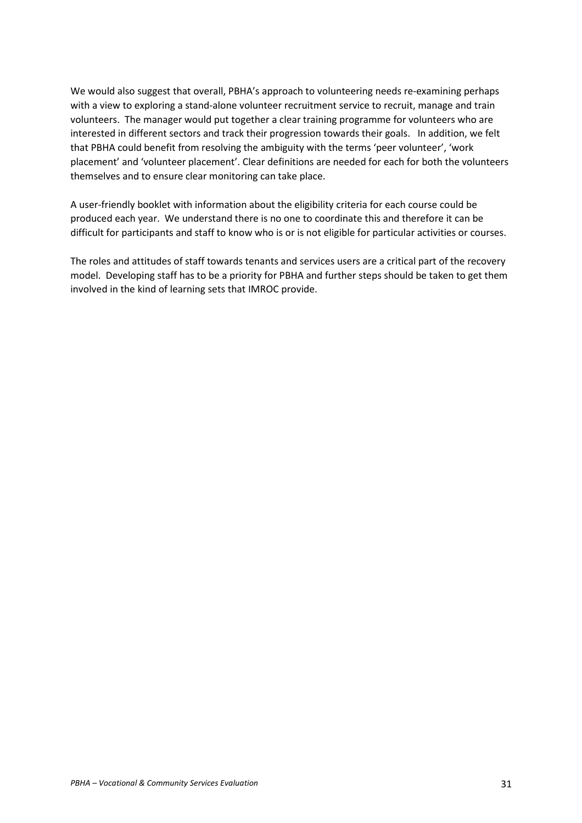We would also suggest that overall, PBHA's approach to volunteering needs re-examining perhaps with a view to exploring a stand-alone volunteer recruitment service to recruit, manage and train volunteers. The manager would put together a clear training programme for volunteers who are interested in different sectors and track their progression towards their goals. In addition, we felt that PBHA could benefit from resolving the ambiguity with the terms 'peer volunteer', 'work placement' and 'volunteer placement'. Clear definitions are needed for each for both the volunteers themselves and to ensure clear monitoring can take place.

A user-friendly booklet with information about the eligibility criteria for each course could be produced each year. We understand there is no one to coordinate this and therefore it can be difficult for participants and staff to know who is or is not eligible for particular activities or courses.

The roles and attitudes of staff towards tenants and services users are a critical part of the recovery model. Developing staff has to be a priority for PBHA and further steps should be taken to get them involved in the kind of learning sets that IMROC provide.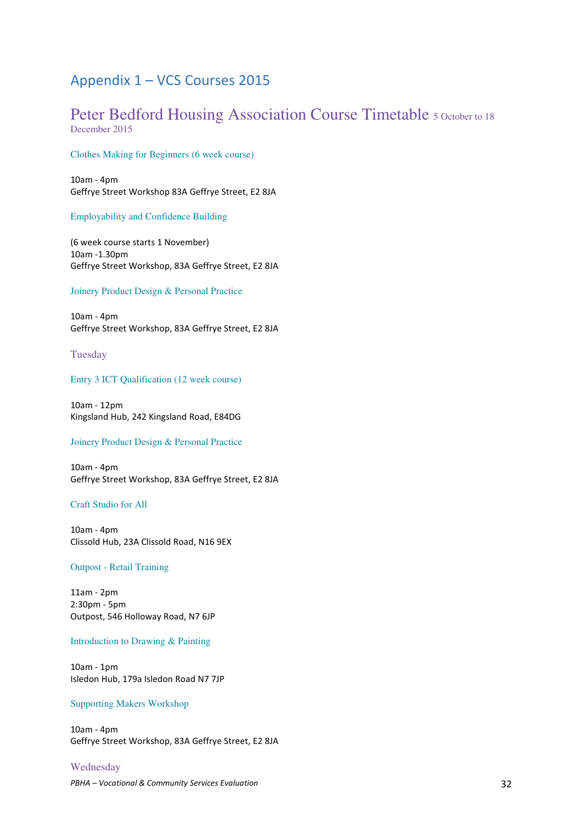# Appendix 1 – VCS Courses 2015

# Peter Bedford Housing Association Course Timetable 5 October to 18 December 2015

## Clothes Making for Beginners (6 week course)

10am - 4pm Geffrye Street Workshop 83A Geffrye Street, E2 8JA

#### Employability and Confidence Building

(6 week course starts 1 November) 10am -1.30pm Geffrye Street Workshop, 83A Geffrye Street, E2 8JA

#### Joinery Product Design & Personal Practice

10am - 4pm Geffrye Street Workshop, 83A Geffrye Street, E2 8JA

#### Tuesday

#### Entry 3 ICT Qualification (12 week course)

10am - 12pm Kingsland Hub, 242 Kingsland Road, E84DG

#### Joinery Product Design & Personal Practice

10am - 4pm Geffrye Street Workshop, 83A Geffrye Street, E2 8JA

#### Craft Studio for All

10am - 4pm Clissold Hub, 23A Clissold Road, N16 9EX

#### Outpost - Retail Training

11am - 2pm 2:30pm - 5pm Outpost, 546 Holloway Road, N7 6JP

#### Introduction to Drawing & Painting

10am - 1pm Isledon Hub, 179a Isledon Road N7 7JP

#### Supporting Makers Workshop

10am - 4pm Geffrye Street Workshop, 83A Geffrye Street, E2 8JA

### Wednesday

*PBHA – Vocational & Community Services Evaluation* 32